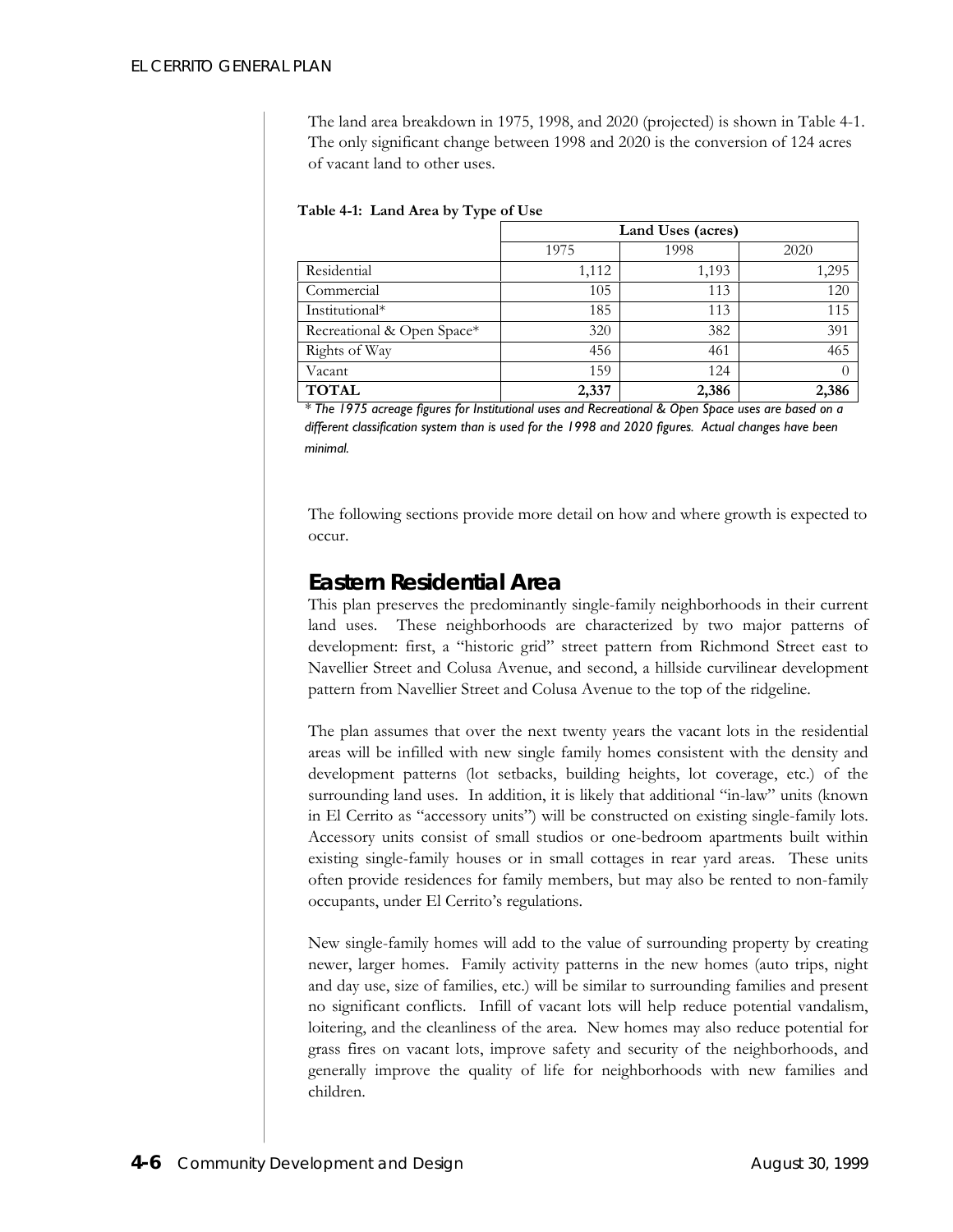The land area breakdown in 1975, 1998, and 2020 (projected) is shown in Table 4-1. The only significant change between 1998 and 2020 is the conversion of 124 acres of vacant land to other uses.

|                            | Land Uses (acres) |       |          |
|----------------------------|-------------------|-------|----------|
|                            | 1975              | 1998  | 2020     |
| Residential                | 1,112             | 1,193 | 1,295    |
| Commercial                 | 105               | 113   | 120      |
| Institutional*             | 185               | 113   | 115      |
| Recreational & Open Space* | 320               | 382   | 391      |
| Rights of Way              | 456               | 461   | 465      |
| Vacant                     | 159               | 124   | $\left($ |
| <b>TOTAL</b>               | 2,337             | 2,386 | 2,386    |

*\* The 1975 acreage figures for Institutional uses and Recreational & Open Space uses are based on a different classification system than is used for the 1998 and 2020 figures. Actual changes have been minimal.* 

The following sections provide more detail on how and where growth is expected to occur.

### *Eastern Residential Area*

This plan preserves the predominantly single-family neighborhoods in their current land uses. These neighborhoods are characterized by two major patterns of development: first, a "historic grid" street pattern from Richmond Street east to Navellier Street and Colusa Avenue, and second, a hillside curvilinear development pattern from Navellier Street and Colusa Avenue to the top of the ridgeline.

The plan assumes that over the next twenty years the vacant lots in the residential areas will be infilled with new single family homes consistent with the density and development patterns (lot setbacks, building heights, lot coverage, etc.) of the surrounding land uses. In addition, it is likely that additional "in-law" units (known in El Cerrito as "accessory units") will be constructed on existing single-family lots. Accessory units consist of small studios or one-bedroom apartments built within existing single-family houses or in small cottages in rear yard areas. These units often provide residences for family members, but may also be rented to non-family occupants, under El Cerrito's regulations.

New single-family homes will add to the value of surrounding property by creating newer, larger homes. Family activity patterns in the new homes (auto trips, night and day use, size of families, etc.) will be similar to surrounding families and present no significant conflicts. Infill of vacant lots will help reduce potential vandalism, loitering, and the cleanliness of the area. New homes may also reduce potential for grass fires on vacant lots, improve safety and security of the neighborhoods, and generally improve the quality of life for neighborhoods with new families and children.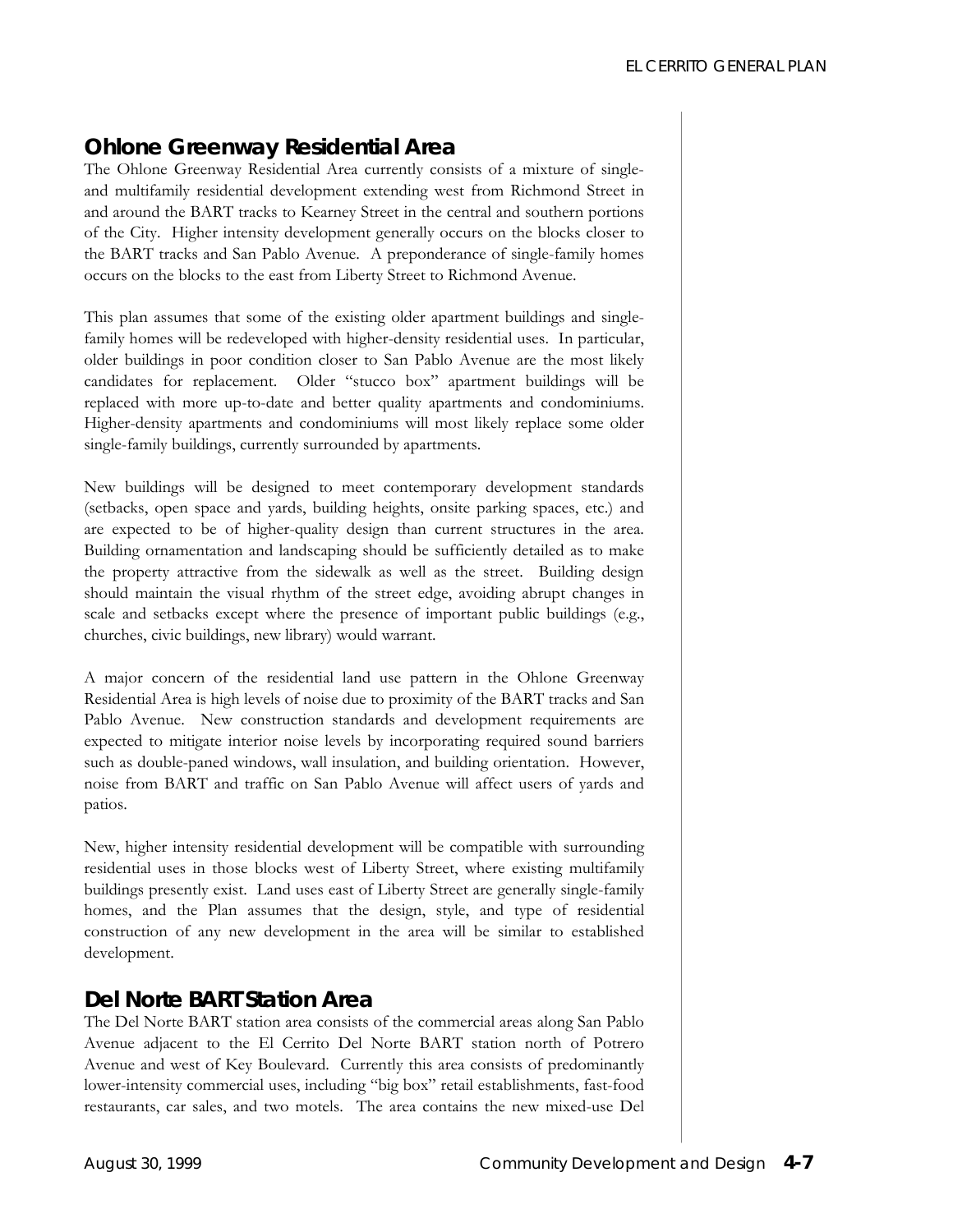# *Ohlone Greenway Residential Area*

The Ohlone Greenway Residential Area currently consists of a mixture of singleand multifamily residential development extending west from Richmond Street in and around the BART tracks to Kearney Street in the central and southern portions of the City. Higher intensity development generally occurs on the blocks closer to the BART tracks and San Pablo Avenue. A preponderance of single-family homes occurs on the blocks to the east from Liberty Street to Richmond Avenue.

This plan assumes that some of the existing older apartment buildings and singlefamily homes will be redeveloped with higher-density residential uses. In particular, older buildings in poor condition closer to San Pablo Avenue are the most likely candidates for replacement. Older "stucco box" apartment buildings will be replaced with more up-to-date and better quality apartments and condominiums. Higher-density apartments and condominiums will most likely replace some older single-family buildings, currently surrounded by apartments.

New buildings will be designed to meet contemporary development standards (setbacks, open space and yards, building heights, onsite parking spaces, etc.) and are expected to be of higher-quality design than current structures in the area. Building ornamentation and landscaping should be sufficiently detailed as to make the property attractive from the sidewalk as well as the street. Building design should maintain the visual rhythm of the street edge, avoiding abrupt changes in scale and setbacks except where the presence of important public buildings (e.g., churches, civic buildings, new library) would warrant.

A major concern of the residential land use pattern in the Ohlone Greenway Residential Area is high levels of noise due to proximity of the BART tracks and San Pablo Avenue. New construction standards and development requirements are expected to mitigate interior noise levels by incorporating required sound barriers such as double-paned windows, wall insulation, and building orientation. However, noise from BART and traffic on San Pablo Avenue will affect users of yards and patios.

New, higher intensity residential development will be compatible with surrounding residential uses in those blocks west of Liberty Street, where existing multifamily buildings presently exist. Land uses east of Liberty Street are generally single-family homes, and the Plan assumes that the design, style, and type of residential construction of any new development in the area will be similar to established development.

### *Del Norte BART Station Area*

The Del Norte BART station area consists of the commercial areas along San Pablo Avenue adjacent to the El Cerrito Del Norte BART station north of Potrero Avenue and west of Key Boulevard. Currently this area consists of predominantly lower-intensity commercial uses, including "big box" retail establishments, fast-food restaurants, car sales, and two motels. The area contains the new mixed-use Del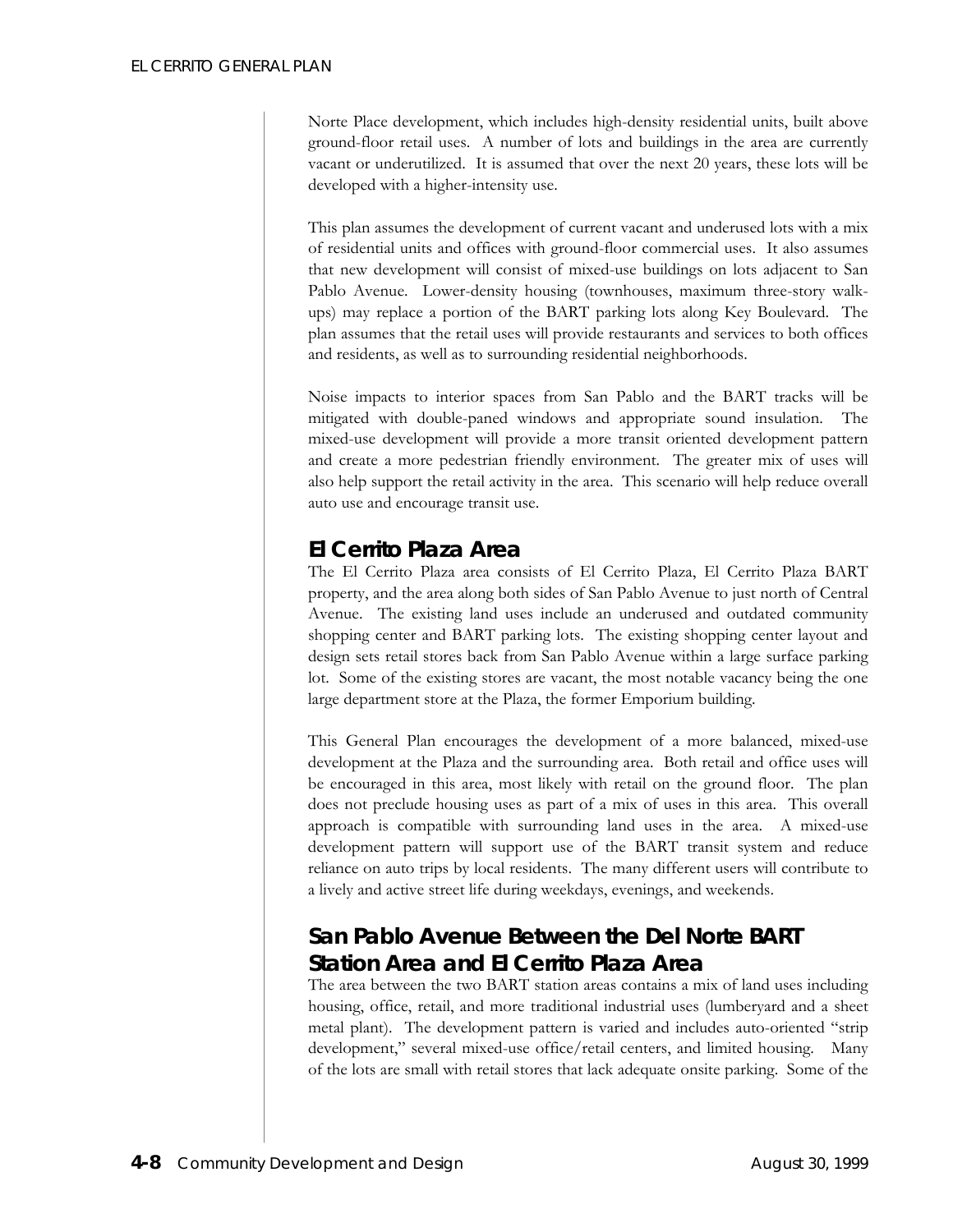Norte Place development, which includes high-density residential units, built above ground-floor retail uses. A number of lots and buildings in the area are currently vacant or underutilized. It is assumed that over the next 20 years, these lots will be developed with a higher-intensity use.

This plan assumes the development of current vacant and underused lots with a mix of residential units and offices with ground-floor commercial uses. It also assumes that new development will consist of mixed-use buildings on lots adjacent to San Pablo Avenue. Lower-density housing (townhouses, maximum three-story walkups) may replace a portion of the BART parking lots along Key Boulevard. The plan assumes that the retail uses will provide restaurants and services to both offices and residents, as well as to surrounding residential neighborhoods.

Noise impacts to interior spaces from San Pablo and the BART tracks will be mitigated with double-paned windows and appropriate sound insulation. The mixed-use development will provide a more transit oriented development pattern and create a more pedestrian friendly environment. The greater mix of uses will also help support the retail activity in the area. This scenario will help reduce overall auto use and encourage transit use.

## *El Cerrito Plaza Area*

The El Cerrito Plaza area consists of El Cerrito Plaza, El Cerrito Plaza BART property, and the area along both sides of San Pablo Avenue to just north of Central Avenue. The existing land uses include an underused and outdated community shopping center and BART parking lots. The existing shopping center layout and design sets retail stores back from San Pablo Avenue within a large surface parking lot. Some of the existing stores are vacant, the most notable vacancy being the one large department store at the Plaza, the former Emporium building.

This General Plan encourages the development of a more balanced, mixed-use development at the Plaza and the surrounding area. Both retail and office uses will be encouraged in this area, most likely with retail on the ground floor. The plan does not preclude housing uses as part of a mix of uses in this area. This overall approach is compatible with surrounding land uses in the area. A mixed-use development pattern will support use of the BART transit system and reduce reliance on auto trips by local residents. The many different users will contribute to a lively and active street life during weekdays, evenings, and weekends.

# *San Pablo Avenue Between the Del Norte BART Station Area and El Cerrito Plaza Area*

The area between the two BART station areas contains a mix of land uses including housing, office, retail, and more traditional industrial uses (lumberyard and a sheet metal plant). The development pattern is varied and includes auto-oriented "strip development," several mixed-use office/retail centers, and limited housing. Many of the lots are small with retail stores that lack adequate onsite parking. Some of the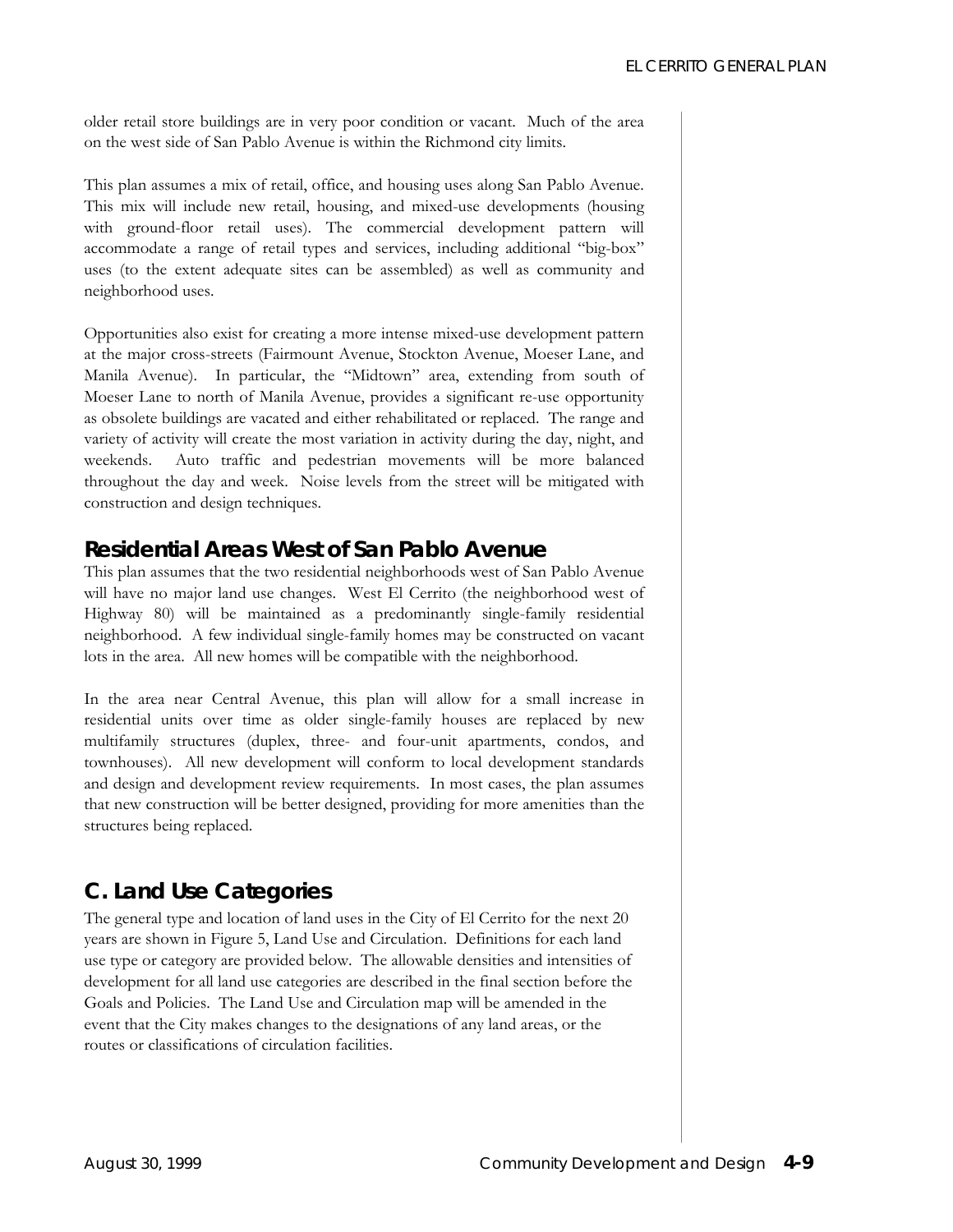older retail store buildings are in very poor condition or vacant. Much of the area on the west side of San Pablo Avenue is within the Richmond city limits.

This plan assumes a mix of retail, office, and housing uses along San Pablo Avenue. This mix will include new retail, housing, and mixed-use developments (housing with ground-floor retail uses). The commercial development pattern will accommodate a range of retail types and services, including additional "big-box" uses (to the extent adequate sites can be assembled) as well as community and neighborhood uses.

Opportunities also exist for creating a more intense mixed-use development pattern at the major cross-streets (Fairmount Avenue, Stockton Avenue, Moeser Lane, and Manila Avenue). In particular, the "Midtown" area, extending from south of Moeser Lane to north of Manila Avenue, provides a significant re-use opportunity as obsolete buildings are vacated and either rehabilitated or replaced. The range and variety of activity will create the most variation in activity during the day, night, and weekends. Auto traffic and pedestrian movements will be more balanced throughout the day and week. Noise levels from the street will be mitigated with construction and design techniques.

### *Residential Areas West of San Pablo Avenue*

This plan assumes that the two residential neighborhoods west of San Pablo Avenue will have no major land use changes. West El Cerrito (the neighborhood west of Highway 80) will be maintained as a predominantly single-family residential neighborhood. A few individual single-family homes may be constructed on vacant lots in the area. All new homes will be compatible with the neighborhood.

In the area near Central Avenue, this plan will allow for a small increase in residential units over time as older single-family houses are replaced by new multifamily structures (duplex, three- and four-unit apartments, condos, and townhouses). All new development will conform to local development standards and design and development review requirements. In most cases, the plan assumes that new construction will be better designed, providing for more amenities than the structures being replaced.

## **C. Land Use Categories**

The general type and location of land uses in the City of El Cerrito for the next 20 years are shown in Figure 5, Land Use and Circulation. Definitions for each land use type or category are provided below. The allowable densities and intensities of development for all land use categories are described in the final section before the Goals and Policies. The Land Use and Circulation map will be amended in the event that the City makes changes to the designations of any land areas, or the routes or classifications of circulation facilities.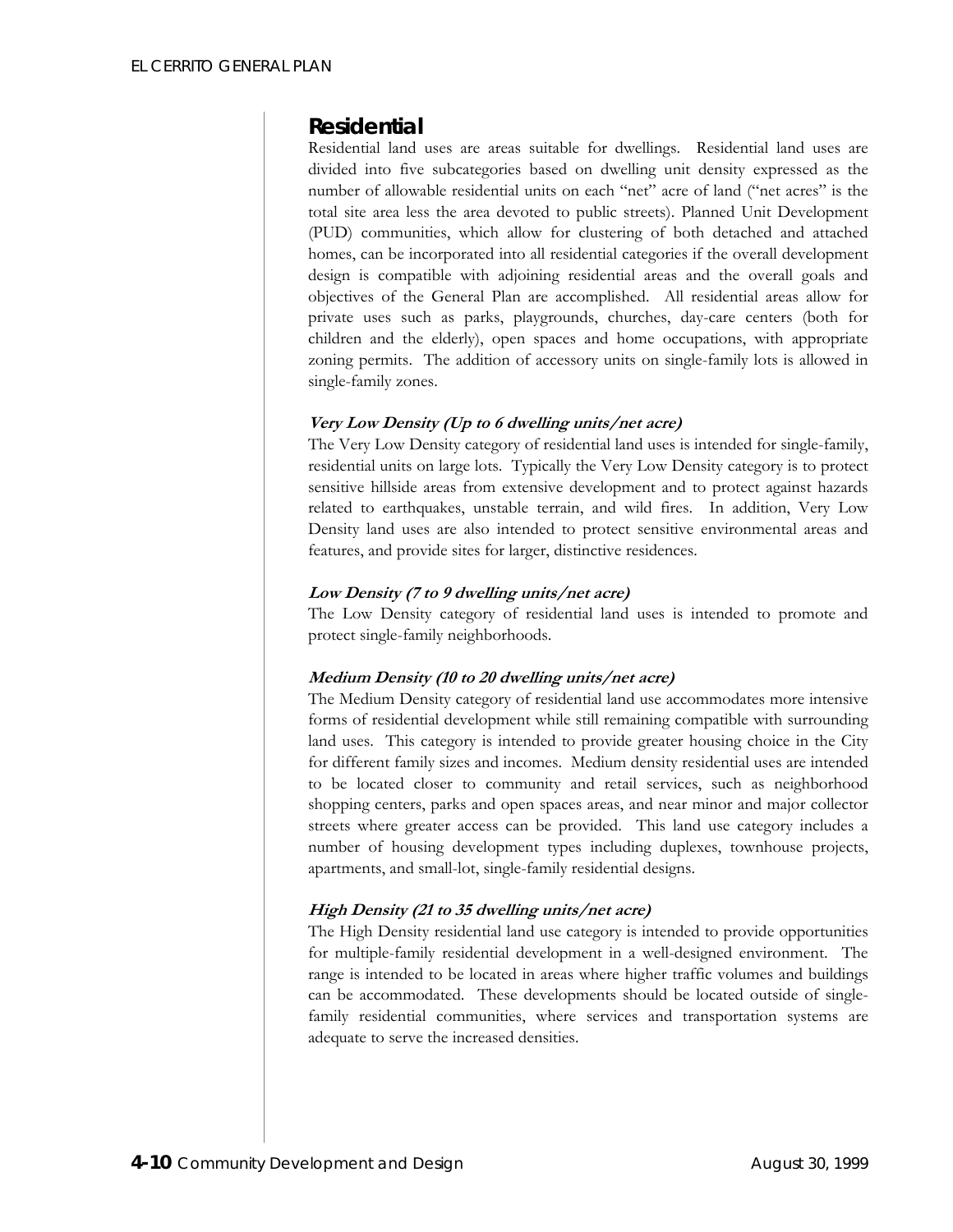### *Residential*

Residential land uses are areas suitable for dwellings. Residential land uses are divided into five subcategories based on dwelling unit density expressed as the number of allowable residential units on each "net" acre of land ("net acres" is the total site area less the area devoted to public streets). Planned Unit Development (PUD) communities, which allow for clustering of both detached and attached homes, can be incorporated into all residential categories if the overall development design is compatible with adjoining residential areas and the overall goals and objectives of the General Plan are accomplished. All residential areas allow for private uses such as parks, playgrounds, churches, day-care centers (both for children and the elderly), open spaces and home occupations, with appropriate zoning permits. The addition of accessory units on single-family lots is allowed in single-family zones.

### **Very Low Density (Up to 6 dwelling units/net acre)**

The Very Low Density category of residential land uses is intended for single-family, residential units on large lots. Typically the Very Low Density category is to protect sensitive hillside areas from extensive development and to protect against hazards related to earthquakes, unstable terrain, and wild fires. In addition, Very Low Density land uses are also intended to protect sensitive environmental areas and features, and provide sites for larger, distinctive residences.

### **Low Density (7 to 9 dwelling units/net acre)**

The Low Density category of residential land uses is intended to promote and protect single-family neighborhoods.

### **Medium Density (10 to 20 dwelling units/net acre)**

The Medium Density category of residential land use accommodates more intensive forms of residential development while still remaining compatible with surrounding land uses. This category is intended to provide greater housing choice in the City for different family sizes and incomes. Medium density residential uses are intended to be located closer to community and retail services, such as neighborhood shopping centers, parks and open spaces areas, and near minor and major collector streets where greater access can be provided. This land use category includes a number of housing development types including duplexes, townhouse projects, apartments, and small-lot, single-family residential designs.

### **High Density (21 to 35 dwelling units/net acre)**

The High Density residential land use category is intended to provide opportunities for multiple-family residential development in a well-designed environment. The range is intended to be located in areas where higher traffic volumes and buildings can be accommodated. These developments should be located outside of singlefamily residential communities, where services and transportation systems are adequate to serve the increased densities.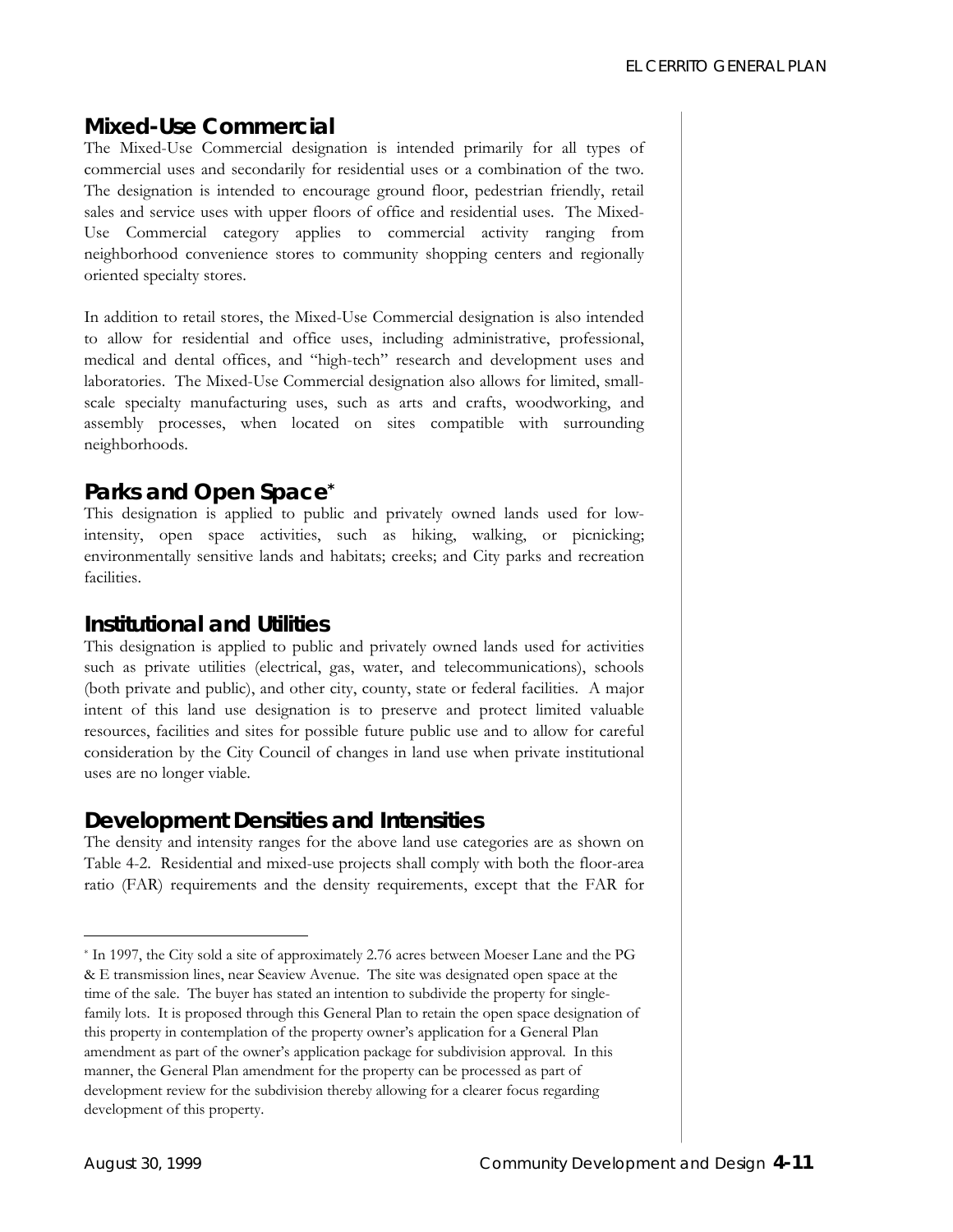### *Mixed-Use Commercial*

The Mixed-Use Commercial designation is intended primarily for all types of commercial uses and secondarily for residential uses or a combination of the two. The designation is intended to encourage ground floor, pedestrian friendly, retail sales and service uses with upper floors of office and residential uses. The Mixed-Use Commercial category applies to commercial activity ranging from neighborhood convenience stores to community shopping centers and regionally oriented specialty stores.

In addition to retail stores, the Mixed-Use Commercial designation is also intended to allow for residential and office uses, including administrative, professional, medical and dental offices, and "high-tech" research and development uses and laboratories. The Mixed-Use Commercial designation also allows for limited, smallscale specialty manufacturing uses, such as arts and crafts, woodworking, and assembly processes, when located on sites compatible with surrounding neighborhoods.

### *Parks and Open Space[\\*](#page-5-0)*

This designation is applied to public and privately owned lands used for lowintensity, open space activities, such as hiking, walking, or picnicking; environmentally sensitive lands and habitats; creeks; and City parks and recreation facilities.

### *Institutional and Utilities*

This designation is applied to public and privately owned lands used for activities such as private utilities (electrical, gas, water, and telecommunications), schools (both private and public), and other city, county, state or federal facilities. A major intent of this land use designation is to preserve and protect limited valuable resources, facilities and sites for possible future public use and to allow for careful consideration by the City Council of changes in land use when private institutional uses are no longer viable.

### *Development Densities and Intensities*

The density and intensity ranges for the above land use categories are as shown on Table 4-2. Residential and mixed-use projects shall comply with both the floor-area ratio (FAR) requirements and the density requirements, except that the FAR for

<span id="page-5-0"></span> <sup>\*</sup> In 1997, the City sold a site of approximately 2.76 acres between Moeser Lane and the PG & E transmission lines, near Seaview Avenue. The site was designated open space at the time of the sale. The buyer has stated an intention to subdivide the property for singlefamily lots. It is proposed through this General Plan to retain the open space designation of this property in contemplation of the property owner's application for a General Plan amendment as part of the owner's application package for subdivision approval. In this manner, the General Plan amendment for the property can be processed as part of development review for the subdivision thereby allowing for a clearer focus regarding development of this property.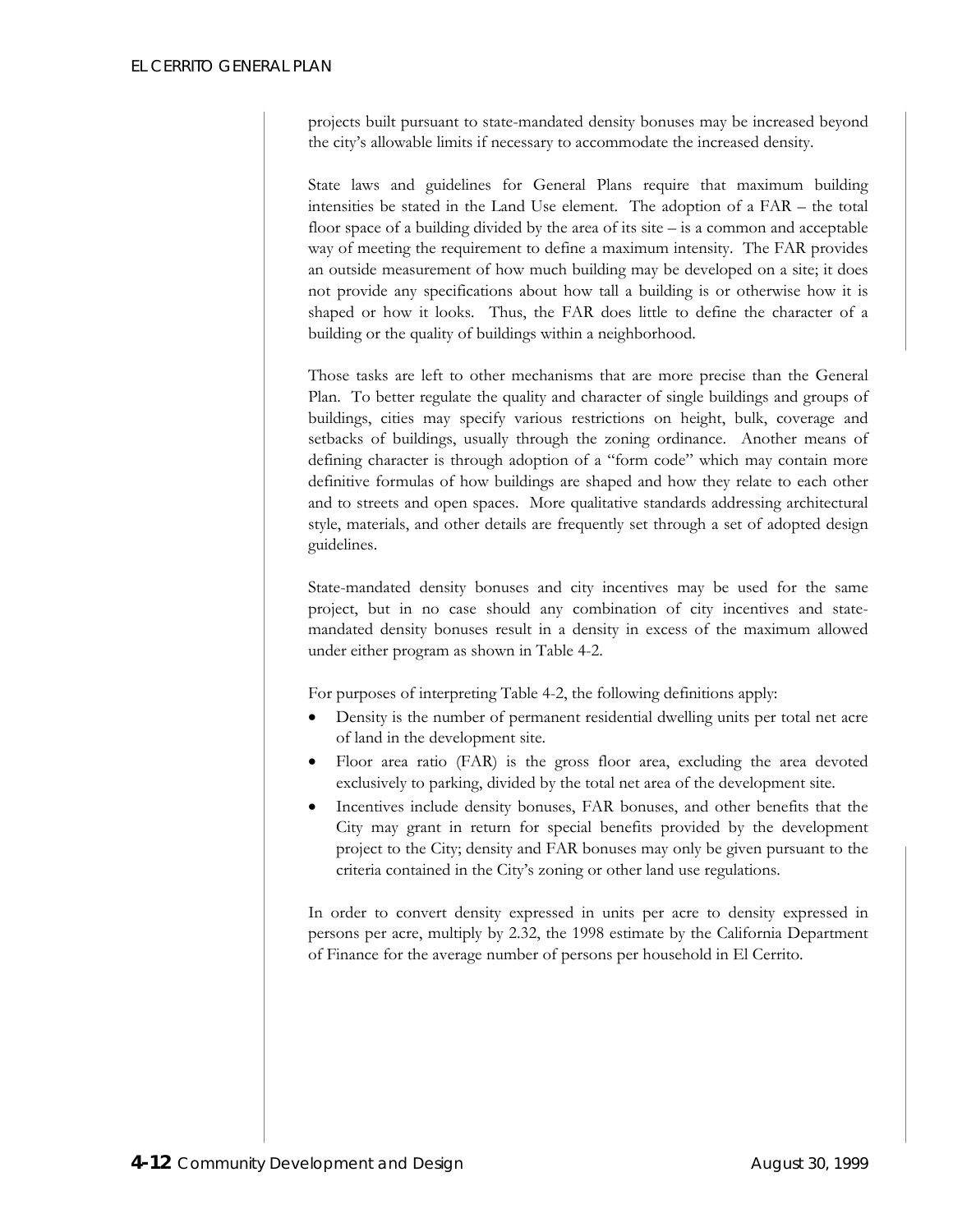projects built pursuant to state-mandated density bonuses may be increased beyond the city's allowable limits if necessary to accommodate the increased density.

State laws and guidelines for General Plans require that maximum building intensities be stated in the Land Use element. The adoption of a FAR – the total floor space of a building divided by the area of its site  $-$  is a common and acceptable way of meeting the requirement to define a maximum intensity. The FAR provides an outside measurement of how much building may be developed on a site; it does not provide any specifications about how tall a building is or otherwise how it is shaped or how it looks. Thus, the FAR does little to define the character of a building or the quality of buildings within a neighborhood.

Those tasks are left to other mechanisms that are more precise than the General Plan. To better regulate the quality and character of single buildings and groups of buildings, cities may specify various restrictions on height, bulk, coverage and setbacks of buildings, usually through the zoning ordinance. Another means of defining character is through adoption of a "form code" which may contain more definitive formulas of how buildings are shaped and how they relate to each other and to streets and open spaces. More qualitative standards addressing architectural style, materials, and other details are frequently set through a set of adopted design guidelines.

State-mandated density bonuses and city incentives may be used for the same project, but in no case should any combination of city incentives and statemandated density bonuses result in a density in excess of the maximum allowed under either program as shown in Table 4-2.

For purposes of interpreting Table 4-2, the following definitions apply:

- Density is the number of permanent residential dwelling units per total net acre of land in the development site.
- Floor area ratio (FAR) is the gross floor area, excluding the area devoted exclusively to parking, divided by the total net area of the development site.
- Incentives include density bonuses, FAR bonuses, and other benefits that the City may grant in return for special benefits provided by the development project to the City; density and FAR bonuses may only be given pursuant to the criteria contained in the City's zoning or other land use regulations.

In order to convert density expressed in units per acre to density expressed in persons per acre, multiply by 2.32, the 1998 estimate by the California Department of Finance for the average number of persons per household in El Cerrito.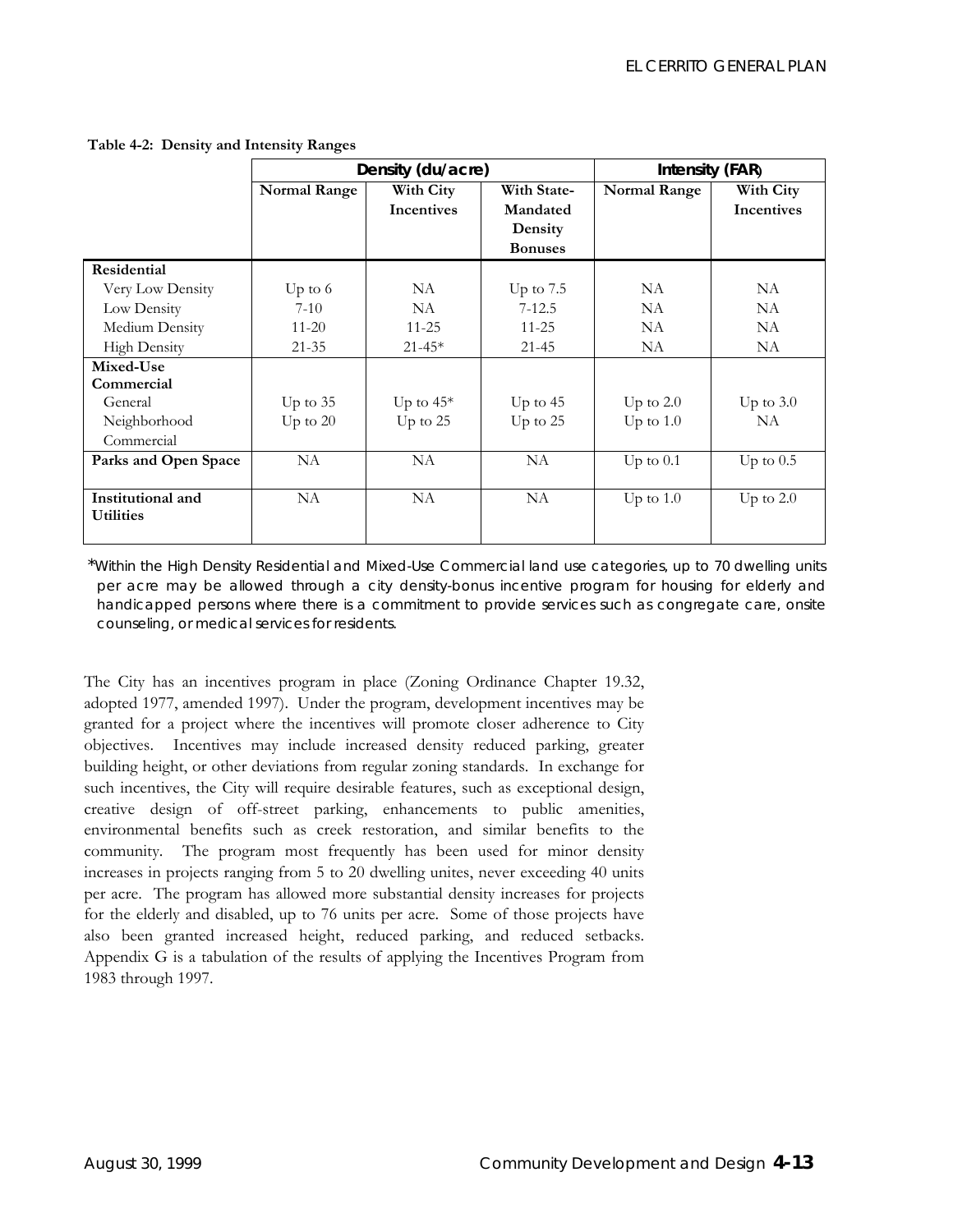|                      | Density (du/acre)   |                   | Intensity (FAR) |                     |                   |
|----------------------|---------------------|-------------------|-----------------|---------------------|-------------------|
|                      | <b>Normal Range</b> | With City         | With State-     | <b>Normal Range</b> | With City         |
|                      |                     | <b>Incentives</b> | Mandated        |                     | <b>Incentives</b> |
|                      |                     |                   | Density         |                     |                   |
|                      |                     |                   | <b>Bonuses</b>  |                     |                   |
| Residential          |                     |                   |                 |                     |                   |
| Very Low Density     | Up to $6$           | NA                | Up to $7.5$     | NA.                 | NA.               |
| Low Density          | $7-10$              | <b>NA</b>         | $7 - 12.5$      | <b>NA</b>           | <b>NA</b>         |
| Medium Density       | $11 - 20$           | $11 - 25$         | $11 - 25$       | <b>NA</b>           | NA                |
| <b>High Density</b>  | $21 - 35$           | $21 - 45*$        | $21 - 45$       | NA                  | NA                |
| Mixed-Use            |                     |                   |                 |                     |                   |
| Commercial           |                     |                   |                 |                     |                   |
| General              | Up to $35$          | Up to $45*$       | Up to $45$      | Up to $2.0$         | Up to $3.0$       |
| Neighborhood         | Up to $20$          | Up to 25          | Up to 25        | Up to $1.0$         | <b>NA</b>         |
| Commercial           |                     |                   |                 |                     |                   |
| Parks and Open Space | NA                  | NA                | <b>NA</b>       | Up to $0.1$         | Up to $0.5$       |
|                      |                     |                   |                 |                     |                   |
| Institutional and    | <b>NA</b>           | NA                | NA              | Up to $1.0$         | Up to $2.0$       |
| <b>Utilities</b>     |                     |                   |                 |                     |                   |
|                      |                     |                   |                 |                     |                   |

**Table 4-2: Density and Intensity Ranges** 

\**Within the High Density Residential and Mixed-Use Commercial land use categories, up to 70 dwelling units*  per acre may be allowed through a city density-bonus incentive program for housing for elderly and *handicapped persons where there is a commitment to provide services such as congregate care, onsite counseling, or medical services for residents.* 

The City has an incentives program in place (Zoning Ordinance Chapter 19.32, adopted 1977, amended 1997). Under the program, development incentives may be granted for a project where the incentives will promote closer adherence to City objectives. Incentives may include increased density reduced parking, greater building height, or other deviations from regular zoning standards. In exchange for such incentives, the City will require desirable features, such as exceptional design, creative design of off-street parking, enhancements to public amenities, environmental benefits such as creek restoration, and similar benefits to the community. The program most frequently has been used for minor density increases in projects ranging from 5 to 20 dwelling unites, never exceeding 40 units per acre. The program has allowed more substantial density increases for projects for the elderly and disabled, up to 76 units per acre. Some of those projects have also been granted increased height, reduced parking, and reduced setbacks. Appendix G is a tabulation of the results of applying the Incentives Program from 1983 through 1997.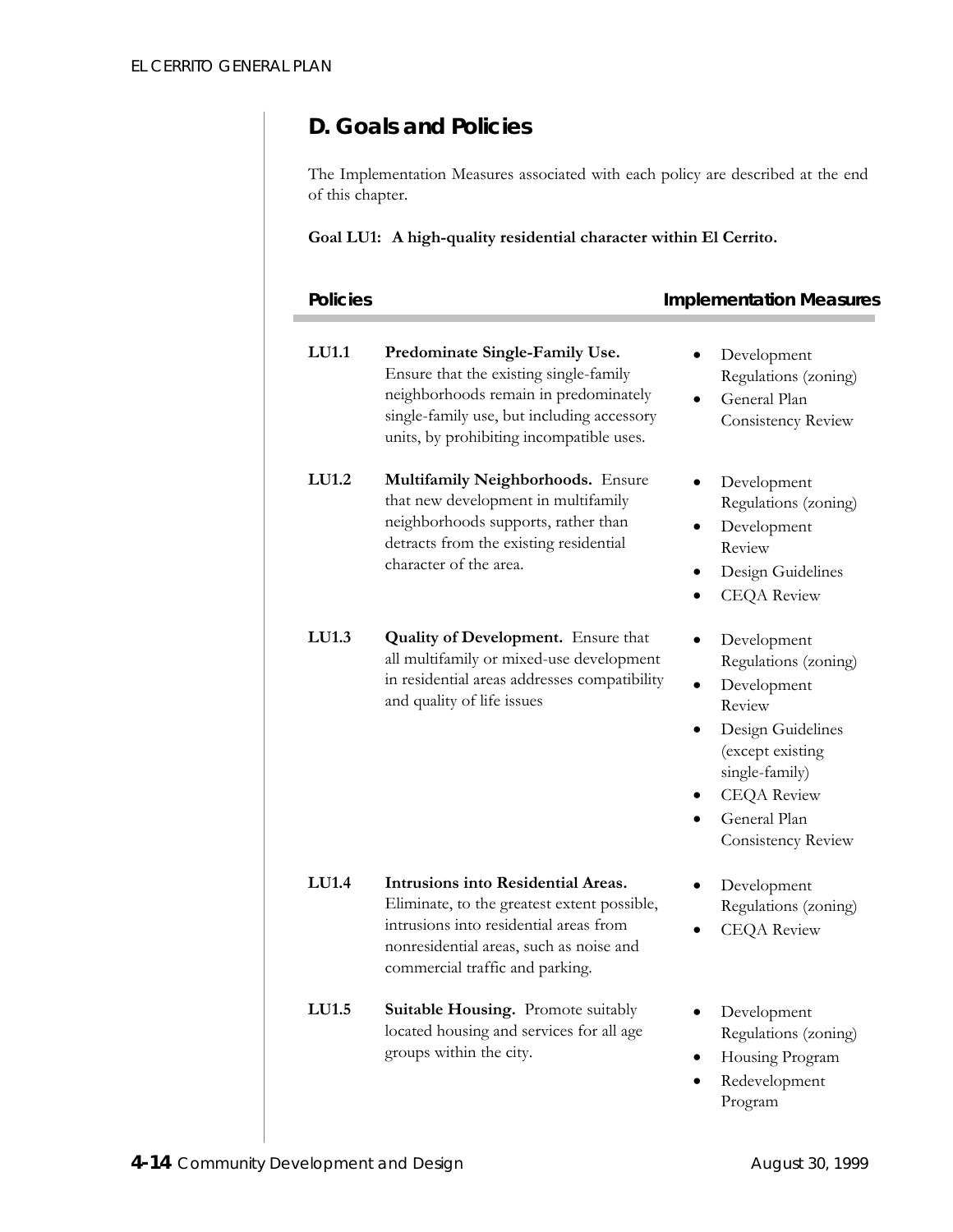# **D. Goals and Policies**

The Implementation Measures associated with each policy are described at the end of this chapter.

### **Goal LU1: A high-quality residential character within El Cerrito.**

| <b>Policies</b> |                                                                                                                                                                                                             | <b>Implementation Measures</b>                                                                                                                                                                                |
|-----------------|-------------------------------------------------------------------------------------------------------------------------------------------------------------------------------------------------------------|---------------------------------------------------------------------------------------------------------------------------------------------------------------------------------------------------------------|
| LU1.1           | Predominate Single-Family Use.<br>Ensure that the existing single-family<br>neighborhoods remain in predominately<br>single-family use, but including accessory<br>units, by prohibiting incompatible uses. | Development<br>Regulations (zoning)<br>General Plan<br>$\bullet$<br>Consistency Review                                                                                                                        |
| LU1.2           | Multifamily Neighborhoods. Ensure<br>that new development in multifamily<br>neighborhoods supports, rather than<br>detracts from the existing residential<br>character of the area.                         | Development<br>Regulations (zoning)<br>Development<br>Review<br>Design Guidelines<br><b>CEQA</b> Review                                                                                                       |
| LU1.3           | <b>Quality of Development.</b> Ensure that<br>all multifamily or mixed-use development<br>in residential areas addresses compatibility<br>and quality of life issues                                        | Development<br>$\bullet$<br>Regulations (zoning)<br>Development<br>$\bullet$<br>Review<br>Design Guidelines<br>(except existing<br>single-family)<br><b>CEQA</b> Review<br>General Plan<br>Consistency Review |
| LU1.4           | Intrusions into Residential Areas.<br>Eliminate, to the greatest extent possible,<br>intrusions into residential areas from<br>nonresidential areas, such as noise and<br>commercial traffic and parking.   | Development<br>٠<br>Regulations (zoning)<br><b>CEQA</b> Review                                                                                                                                                |
| LU1.5           | Suitable Housing. Promote suitably<br>located housing and services for all age<br>groups within the city.                                                                                                   | Development<br>Regulations (zoning)<br>Housing Program<br>Redevelopment<br>Program                                                                                                                            |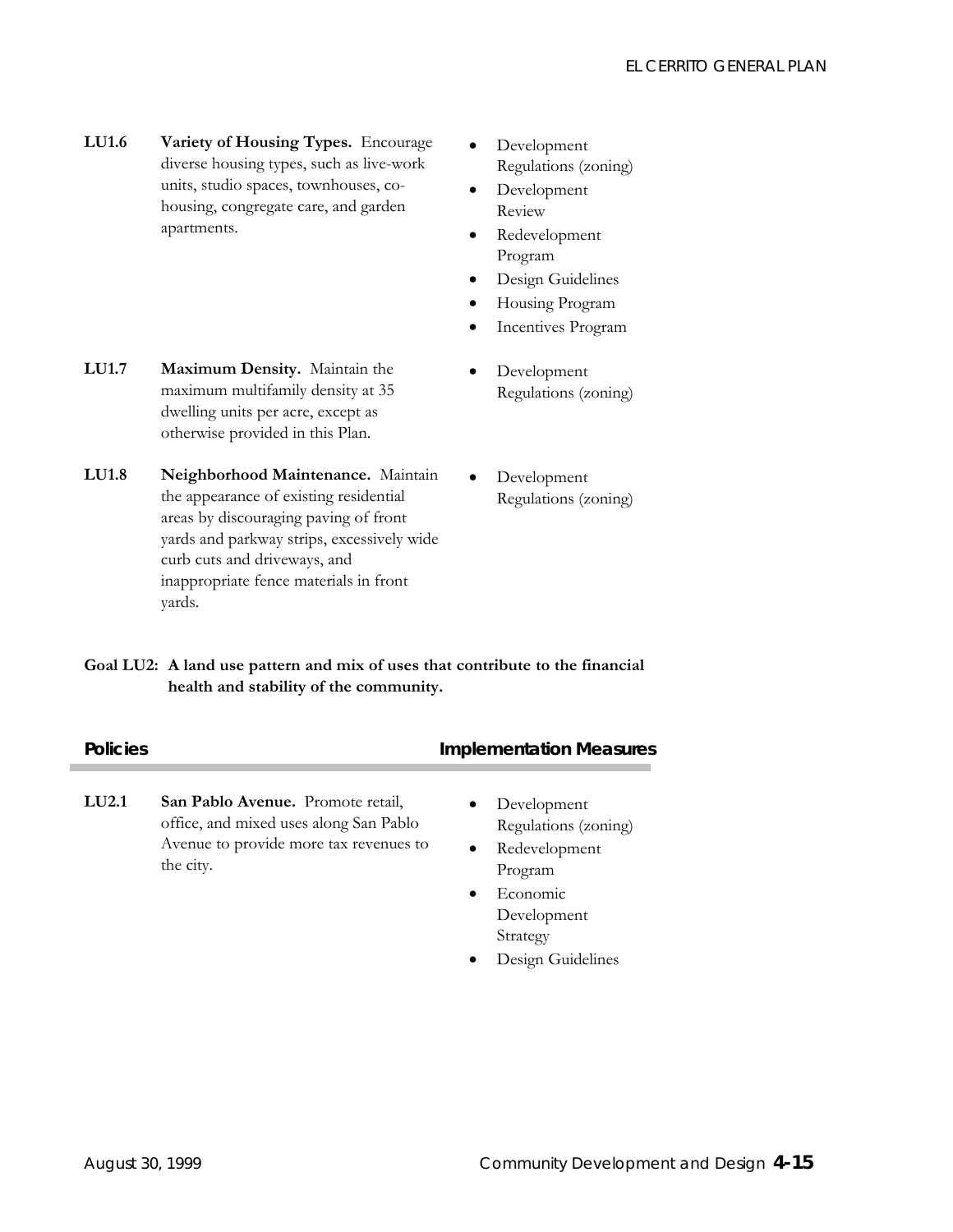- **LU1.6 Variety of Housing Types.** Encourage diverse housing types, such as live-work units, studio spaces, townhouses, cohousing, congregate care, and garden apartments.
- Development Regulations (zoning)
- Development Review
- Redevelopment Program
- Design Guidelines
- Housing Program
- Incentives Program
- Development Regulations (zoning)
- **LU1.7 Maximum Density.** Maintain the maximum multifamily density at 35 dwelling units per acre, except as otherwise provided in this Plan.
- **LU1.8 Neighborhood Maintenance.** Maintain the appearance of existing residential areas by discouraging paving of front yards and parkway strips, excessively wide curb cuts and driveways, and inappropriate fence materials in front yards.
- Development Regulations (zoning)

**Goal LU2: A land use pattern and mix of uses that contribute to the financial health and stability of the community.**

| <b>Policies</b> |                                                                                                                                    | <b>Implementation Measures</b>                                                                                                                |
|-----------------|------------------------------------------------------------------------------------------------------------------------------------|-----------------------------------------------------------------------------------------------------------------------------------------------|
| LU2.1           | San Pablo Avenue. Promote retail,<br>office, and mixed uses along San Pablo<br>Avenue to provide more tax revenues to<br>the city. | Development<br>$\bullet$<br>Regulations (zoning)<br>Redevelopment<br>$\bullet$<br>Program<br>Economic<br>$\bullet$<br>Development<br>Strategy |

• Design Guidelines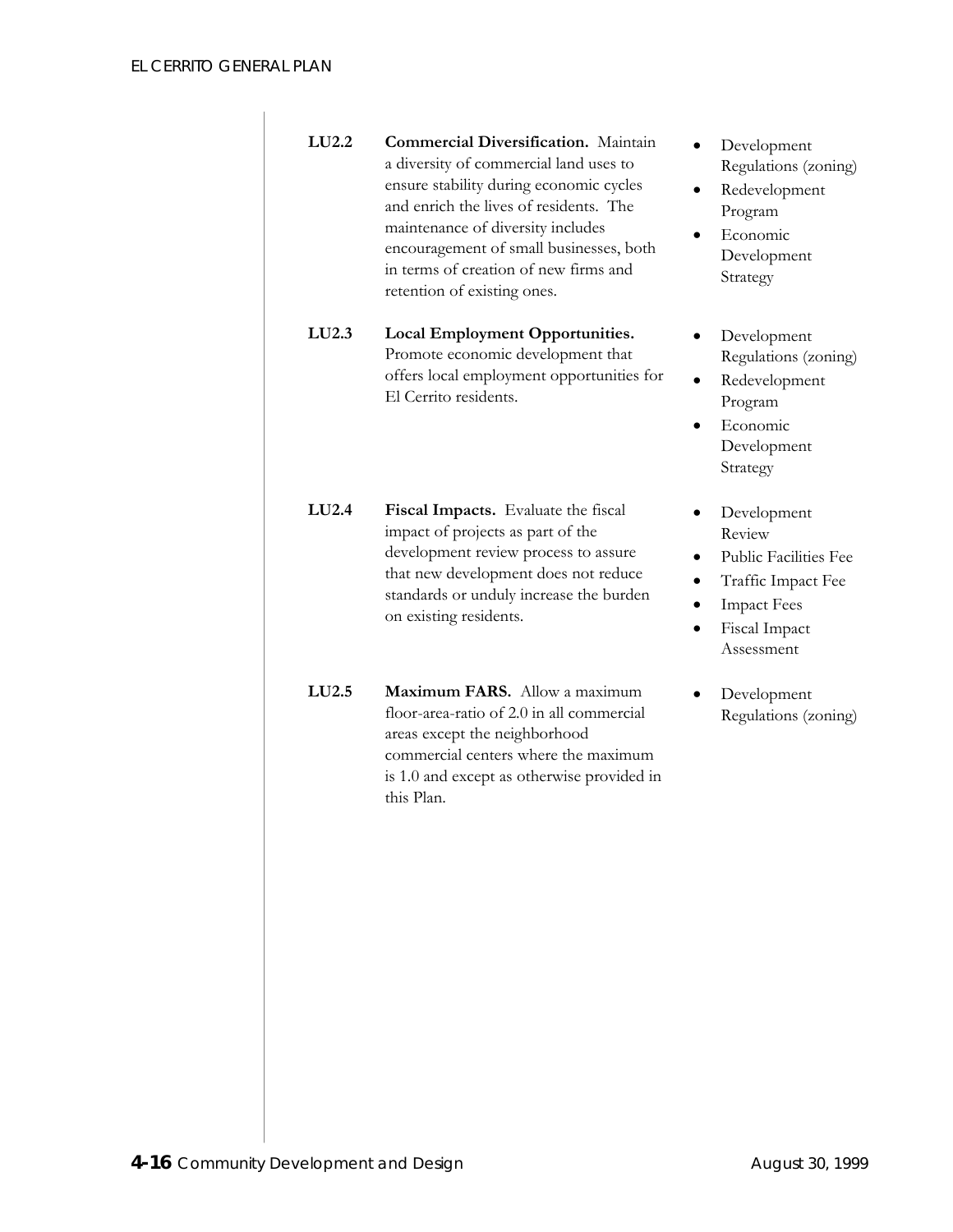| LU2.2             | <b>Commercial Diversification.</b> Maintain<br>a diversity of commercial land uses to<br>ensure stability during economic cycles<br>and enrich the lives of residents. The<br>maintenance of diversity includes<br>encouragement of small businesses, both<br>in terms of creation of new firms and<br>retention of existing ones. | Development<br>Regulations (zoning)<br>Redevelopment<br>Program<br>Economic<br>Development<br>Strategy                           |
|-------------------|------------------------------------------------------------------------------------------------------------------------------------------------------------------------------------------------------------------------------------------------------------------------------------------------------------------------------------|----------------------------------------------------------------------------------------------------------------------------------|
| LU2.3             | <b>Local Employment Opportunities.</b><br>Promote economic development that<br>offers local employment opportunities for<br>El Cerrito residents.                                                                                                                                                                                  | Development<br>Regulations (zoning)<br>Redevelopment<br>Program<br>Economic<br>Development<br>Strategy                           |
| LU <sub>2.4</sub> | Fiscal Impacts. Evaluate the fiscal<br>impact of projects as part of the<br>development review process to assure<br>that new development does not reduce<br>standards or unduly increase the burden<br>on existing residents.                                                                                                      | Development<br>Review<br><b>Public Facilities Fee</b><br>Traffic Impact Fee<br><b>Impact Fees</b><br>Fiscal Impact<br>Assessment |
| LU2.5             | Maximum FARS. Allow a maximum<br>floor-area-ratio of 2.0 in all commercial<br>areas except the neighborhood<br>commercial centers where the maximum<br>is 1.0 and except as otherwise provided in<br>this Plan.                                                                                                                    | Development<br>Regulations (zoning)                                                                                              |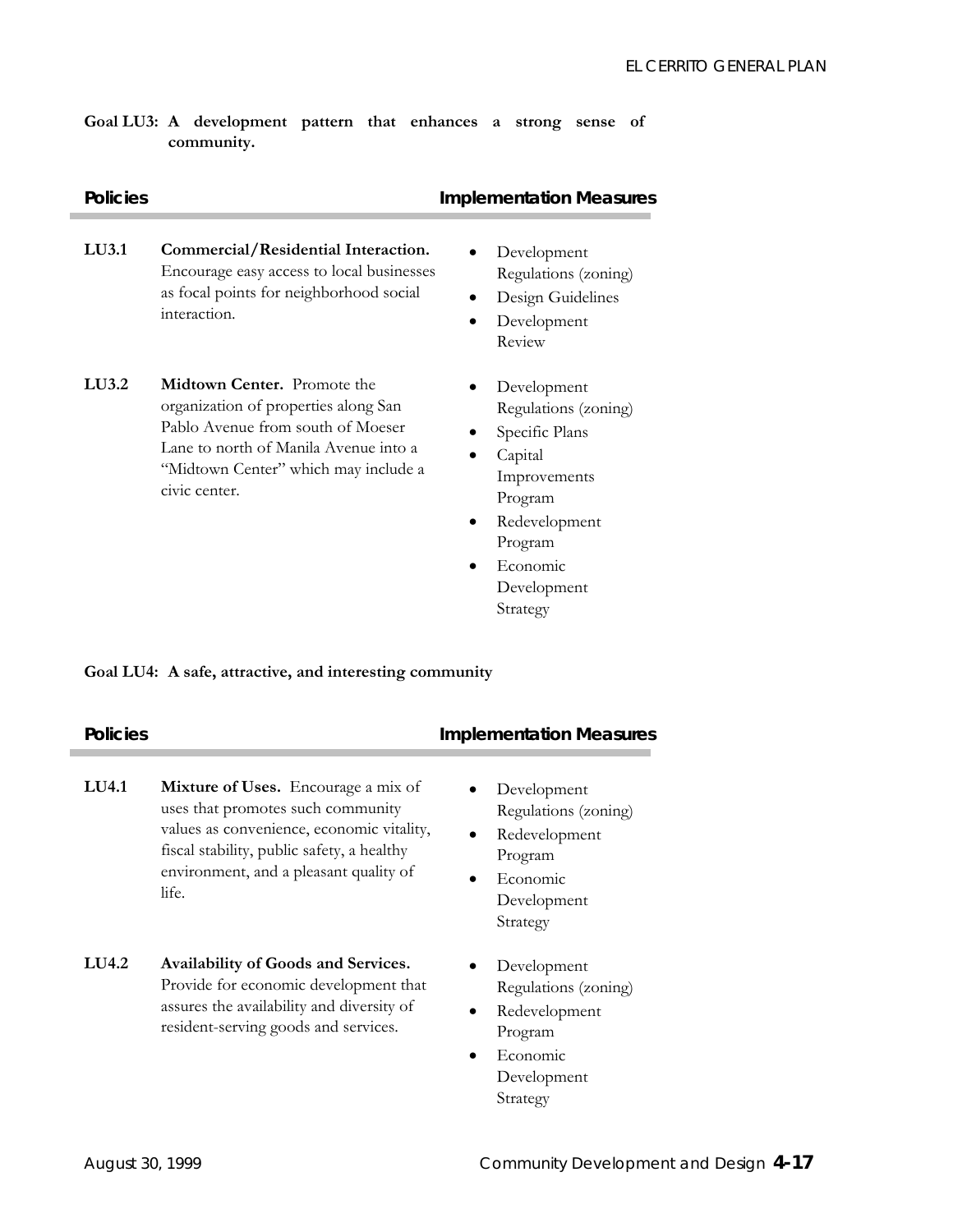### **Goal LU3: A development pattern that enhances a strong sense of community.**

| <b>Policies</b> |                                                                                                                                                                                                                   | <b>Implementation Measures</b>                                                                                                                                  |
|-----------------|-------------------------------------------------------------------------------------------------------------------------------------------------------------------------------------------------------------------|-----------------------------------------------------------------------------------------------------------------------------------------------------------------|
| LU3.1           | Commercial/Residential Interaction.<br>Encourage easy access to local businesses<br>as focal points for neighborhood social<br>interaction.                                                                       | Development<br>Regulations (zoning)<br>Design Guidelines<br>Development<br>$\bullet$<br>Review                                                                  |
| LU3.2           | <b>Midtown Center.</b> Promote the<br>organization of properties along San<br>Pablo Avenue from south of Moeser<br>Lane to north of Manila Avenue into a<br>"Midtown Center" which may include a<br>civic center. | Development<br>Regulations (zoning)<br>Specific Plans<br>Capital<br>$\bullet$<br>Improvements<br>Program<br>Redevelopment<br>Program<br>Economic<br>Development |

### **Goal LU4: A safe, attractive, and interesting community**

| <b>Policies</b> |                                                                                                                                                                                                                               | <b>Implementation Measures</b>                                                                                      |
|-----------------|-------------------------------------------------------------------------------------------------------------------------------------------------------------------------------------------------------------------------------|---------------------------------------------------------------------------------------------------------------------|
| LU4.1           | <b>Mixture of Uses.</b> Encourage a mix of<br>uses that promotes such community<br>values as convenience, economic vitality,<br>fiscal stability, public safety, a healthy<br>environment, and a pleasant quality of<br>life. | Development<br>Regulations (zoning)<br>Redevelopment<br>Program<br>Economic<br>$\bullet$<br>Development<br>Strategy |
| LU4.2           | Availability of Goods and Services.<br>Provide for economic development that<br>assures the availability and diversity of<br>resident-serving goods and services.                                                             | Development<br>Regulations (zoning)<br>Redevelopment<br>$\bullet$<br>Program                                        |

Strategy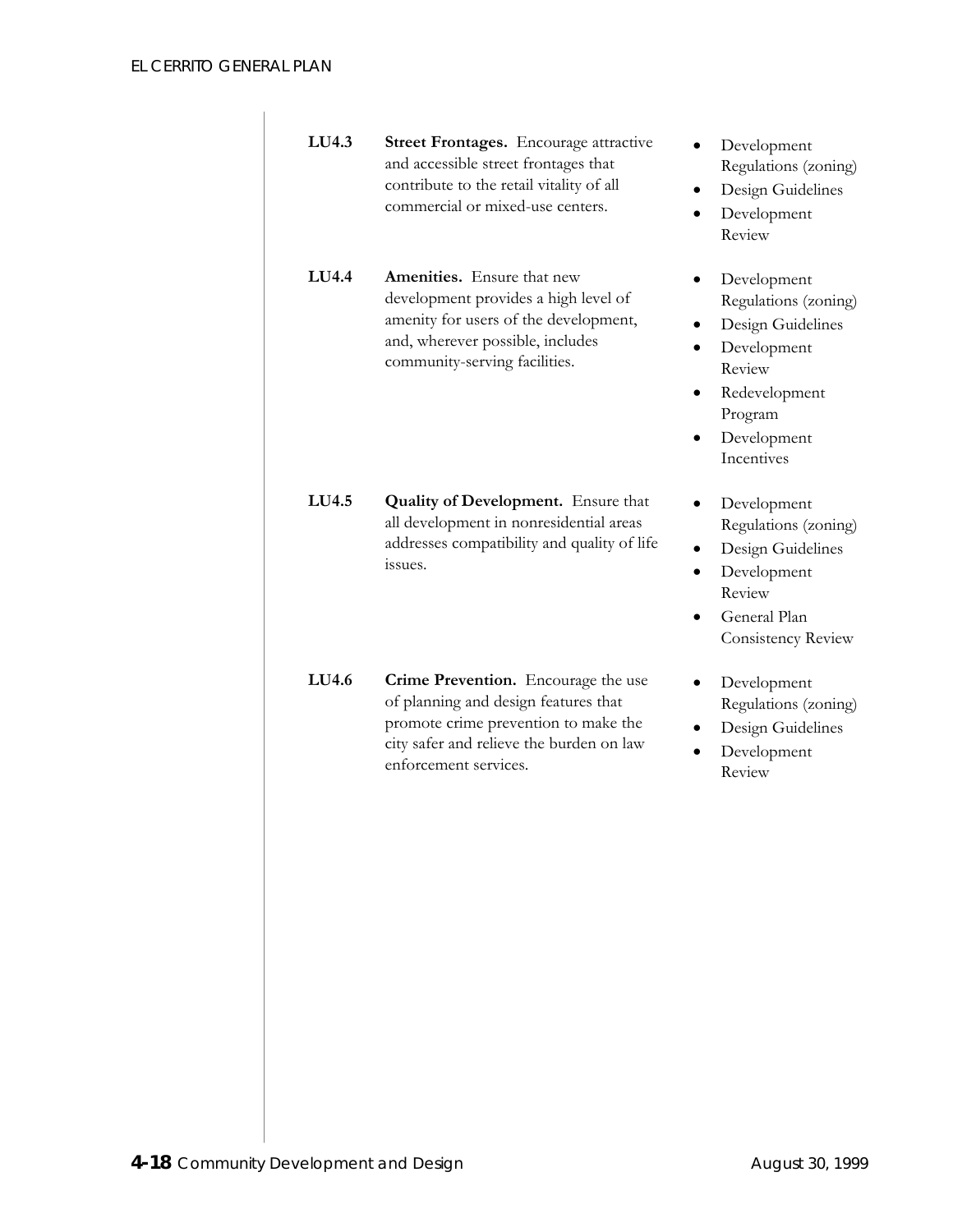| LU4.3               | Street Frontages. Encourage attractive<br>and accessible street frontages that<br>contribute to the retail vitality of all<br>commercial or mixed-use centers.                           | Development<br>Regulations (zoning)<br>Design Guidelines<br>Development<br>$\bullet$<br>Review                                                          |
|---------------------|------------------------------------------------------------------------------------------------------------------------------------------------------------------------------------------|---------------------------------------------------------------------------------------------------------------------------------------------------------|
| $LI$ <sub>4.4</sub> | <b>Amenities.</b> Ensure that new<br>development provides a high level of<br>amenity for users of the development,<br>and, wherever possible, includes<br>community-serving facilities.  | Development<br>Regulations (zoning)<br>Design Guidelines<br>Development<br>$\bullet$<br>Review<br>Redevelopment<br>Program<br>Development<br>Incentives |
| LU4.5               | <b>Quality of Development.</b> Ensure that<br>all development in nonresidential areas<br>addresses compatibility and quality of life<br>issues.                                          | Development<br>Regulations (zoning)<br>Design Guidelines<br>Development<br>٠<br>Review<br>General Plan<br>Consistency Review                            |
| LU4.6               | Crime Prevention. Encourage the use<br>of planning and design features that<br>promote crime prevention to make the<br>city safer and relieve the burden on law<br>enforcement services. | Development<br>Regulations (zoning)<br>Design Guidelines<br>Development<br>Review                                                                       |
|                     |                                                                                                                                                                                          |                                                                                                                                                         |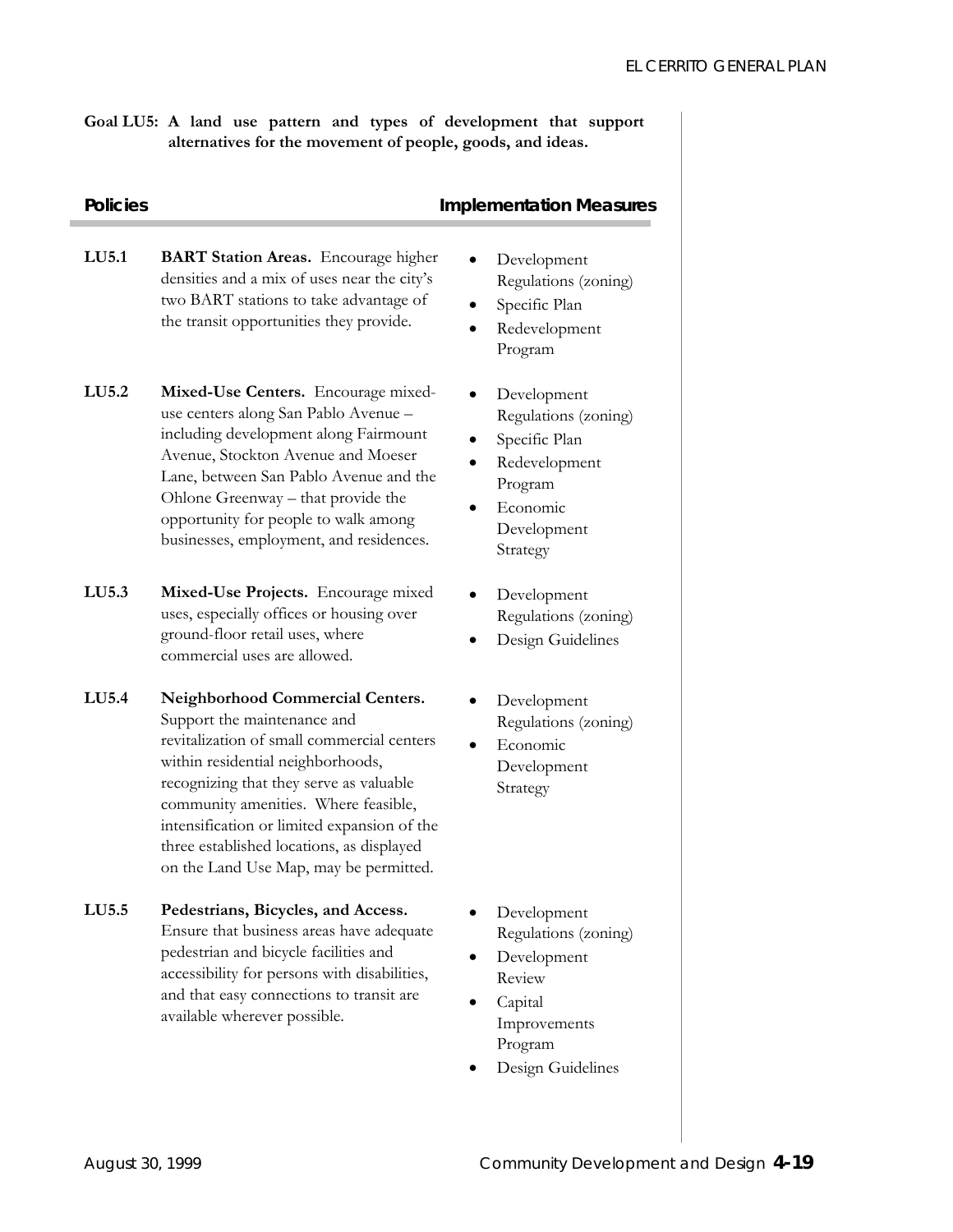**Goal LU5: A land use pattern and types of development that support alternatives for the movement of people, goods, and ideas.** 

| <b>Policies</b> |                                                                                                                                                                                                                                                                                                                                                                                    | <b>Implementation Measures</b>                                                                                          |  |
|-----------------|------------------------------------------------------------------------------------------------------------------------------------------------------------------------------------------------------------------------------------------------------------------------------------------------------------------------------------------------------------------------------------|-------------------------------------------------------------------------------------------------------------------------|--|
| LU5.1           | <b>BART Station Areas.</b> Encourage higher<br>densities and a mix of uses near the city's<br>two BART stations to take advantage of<br>the transit opportunities they provide.                                                                                                                                                                                                    | Development<br>Regulations (zoning)<br>Specific Plan<br>Redevelopment<br>Program                                        |  |
| LU5.2           | Mixed-Use Centers. Encourage mixed-<br>use centers along San Pablo Avenue -<br>including development along Fairmount<br>Avenue, Stockton Avenue and Moeser<br>Lane, between San Pablo Avenue and the<br>Ohlone Greenway – that provide the<br>opportunity for people to walk among<br>businesses, employment, and residences.                                                      | Development<br>Regulations (zoning)<br>Specific Plan<br>Redevelopment<br>Program<br>Economic<br>Development<br>Strategy |  |
| LU5.3           | Mixed-Use Projects. Encourage mixed<br>uses, especially offices or housing over<br>ground-floor retail uses, where<br>commercial uses are allowed.                                                                                                                                                                                                                                 | Development<br>Regulations (zoning)<br>Design Guidelines                                                                |  |
| LU5.4           | <b>Neighborhood Commercial Centers.</b><br>Support the maintenance and<br>revitalization of small commercial centers<br>within residential neighborhoods,<br>recognizing that they serve as valuable<br>community amenities. Where feasible,<br>intensification or limited expansion of the<br>three established locations, as displayed<br>on the Land Use Map, may be permitted. | Development<br>Regulations (zoning)<br>Economic<br>Development<br>Strategy                                              |  |
| LU5.5           | Pedestrians, Bicycles, and Access.<br>Ensure that business areas have adequate<br>pedestrian and bicycle facilities and<br>accessibility for persons with disabilities,                                                                                                                                                                                                            | Development<br>Regulations (zoning)<br>Development<br>Review                                                            |  |

and that easy connections to transit are

available wherever possible.

- Capital Improvements Program
- Design Guidelines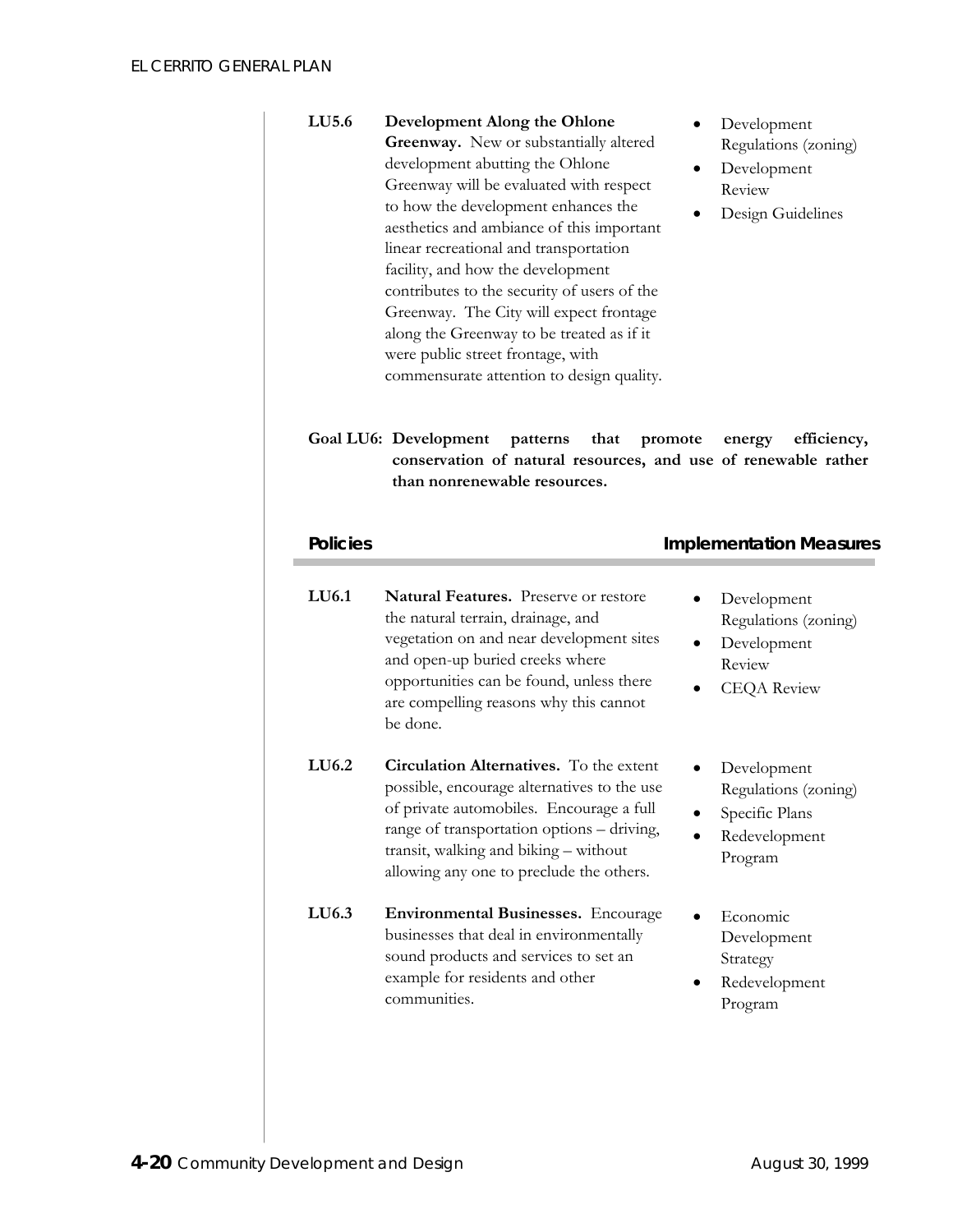| LU5.6 | Development Along the Ohlone                |
|-------|---------------------------------------------|
|       | Greenway. New or substantially altered      |
|       | development abutting the Ohlone             |
|       | Greenway will be evaluated with respect     |
|       | to how the development enhances the         |
|       | aesthetics and ambiance of this important   |
|       | linear recreational and transportation      |
|       | facility, and how the development           |
|       | contributes to the security of users of the |
|       | Greenway. The City will expect frontage     |
|       | along the Greenway to be treated as if it   |
|       | were public street frontage, with           |
|       | commensurate attention to design quality.   |

- Development Regulations (zoning)
- Development Review
- Design Guidelines

**Goal LU6: Development patterns that promote energy efficiency, conservation of natural resources, and use of renewable rather than nonrenewable resources.** 

| <b>Policies</b>   |                                                                                                                                                                                                                                                                              | <b>Implementation Measures</b>                                                     |
|-------------------|------------------------------------------------------------------------------------------------------------------------------------------------------------------------------------------------------------------------------------------------------------------------------|------------------------------------------------------------------------------------|
| LU6.1             | <b>Natural Features.</b> Preserve or restore<br>the natural terrain, drainage, and<br>vegetation on and near development sites<br>and open-up buried creeks where<br>opportunities can be found, unless there<br>are compelling reasons why this cannot<br>be done.          | Development<br>Regulations (zoning)<br>Development<br>Review<br><b>CEQA Review</b> |
| LU <sub>6.2</sub> | <b>Circulation Alternatives.</b> To the extent<br>possible, encourage alternatives to the use<br>of private automobiles. Encourage a full<br>range of transportation options - driving,<br>transit, walking and biking - without<br>allowing any one to preclude the others. | Development<br>Regulations (zoning)<br>Specific Plans<br>Redevelopment<br>Program  |
| LU6.3             | <b>Environmental Businesses.</b> Encourage<br>businesses that deal in environmentally<br>sound products and services to set an<br>example for residents and other<br>communities.                                                                                            | Economic<br>Development<br>Strategy<br>Redevelopment<br>Program                    |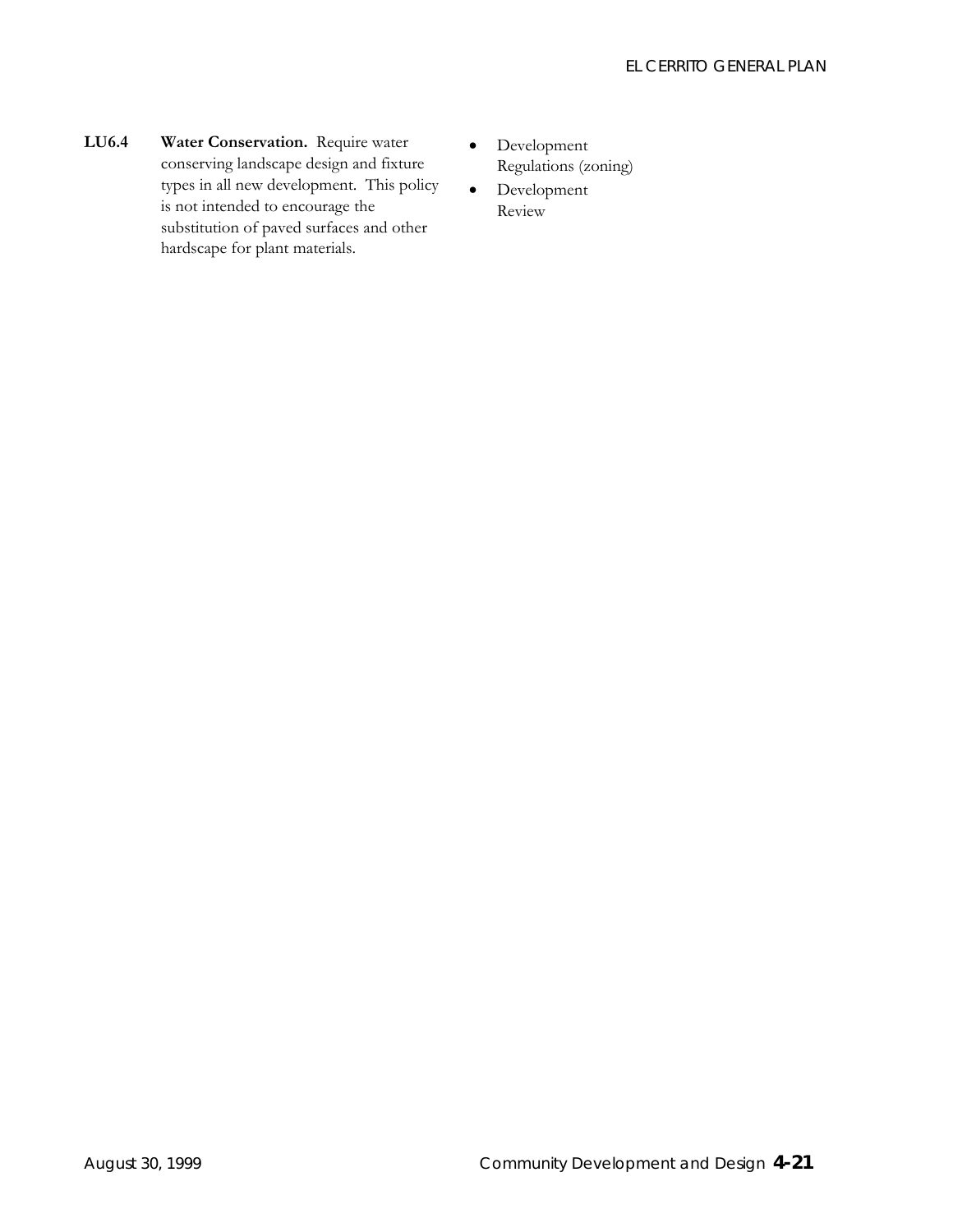- **LU6.4 Water Conservation.** Require water conserving landscape design and fixture types in all new development. This policy is not intended to encourage the substitution of paved surfaces and other hardscape for plant materials.
- Development Regulations (zoning)
- Development Review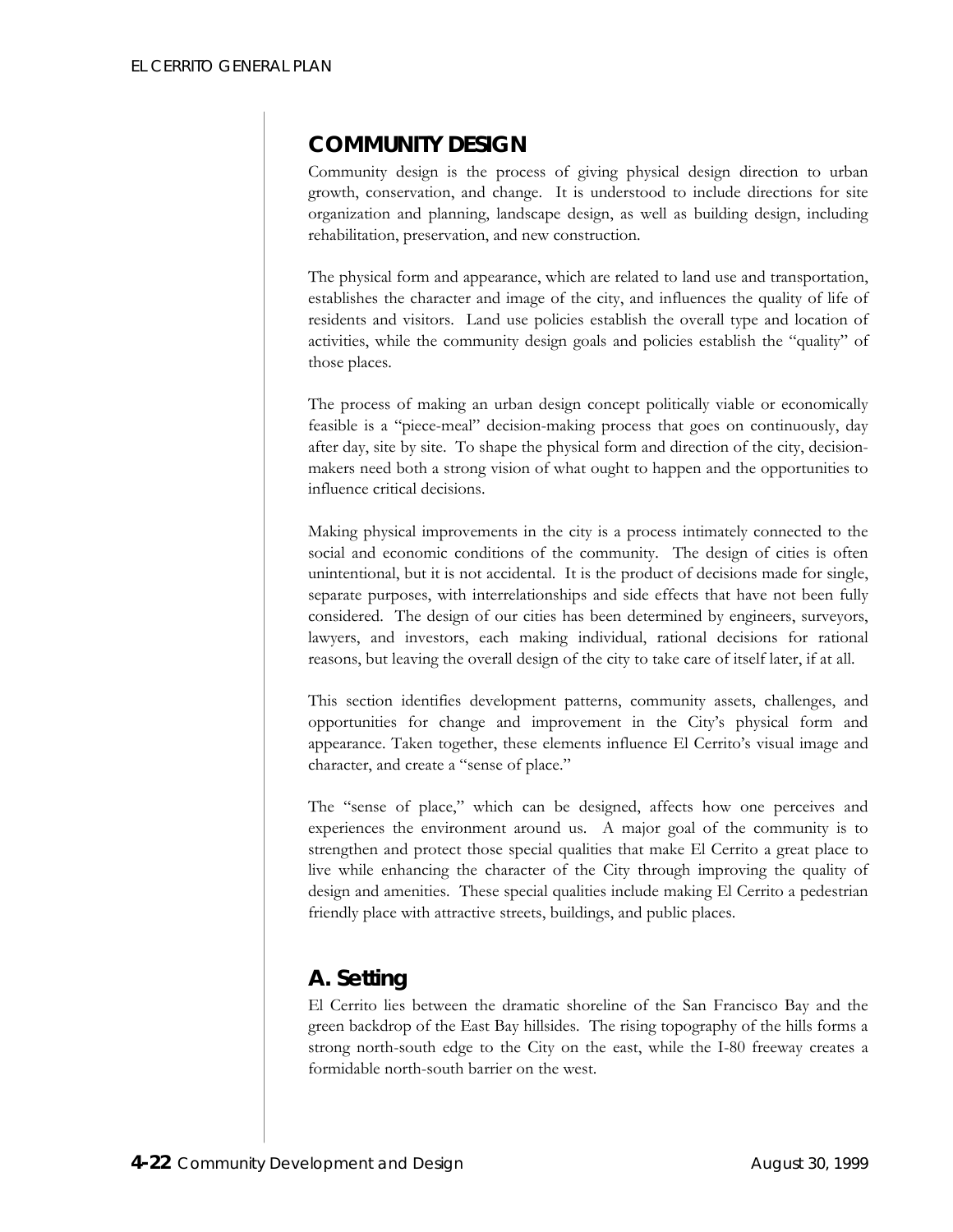## **COMMUNITY DESIGN**

Community design is the process of giving physical design direction to urban growth, conservation, and change. It is understood to include directions for site organization and planning, landscape design, as well as building design, including rehabilitation, preservation, and new construction.

The physical form and appearance, which are related to land use and transportation, establishes the character and image of the city, and influences the quality of life of residents and visitors. Land use policies establish the overall type and location of activities, while the community design goals and policies establish the "quality" of those places.

The process of making an urban design concept politically viable or economically feasible is a "piece-meal" decision-making process that goes on continuously, day after day, site by site. To shape the physical form and direction of the city, decisionmakers need both a strong vision of what ought to happen and the opportunities to influence critical decisions.

Making physical improvements in the city is a process intimately connected to the social and economic conditions of the community. The design of cities is often unintentional, but it is not accidental. It is the product of decisions made for single, separate purposes, with interrelationships and side effects that have not been fully considered. The design of our cities has been determined by engineers, surveyors, lawyers, and investors, each making individual, rational decisions for rational reasons, but leaving the overall design of the city to take care of itself later, if at all.

This section identifies development patterns, community assets, challenges, and opportunities for change and improvement in the City's physical form and appearance. Taken together, these elements influence El Cerrito's visual image and character, and create a "sense of place."

The "sense of place," which can be designed, affects how one perceives and experiences the environment around us. A major goal of the community is to strengthen and protect those special qualities that make El Cerrito a great place to live while enhancing the character of the City through improving the quality of design and amenities. These special qualities include making El Cerrito a pedestrian friendly place with attractive streets, buildings, and public places.

# **A. Setting**

El Cerrito lies between the dramatic shoreline of the San Francisco Bay and the green backdrop of the East Bay hillsides. The rising topography of the hills forms a strong north-south edge to the City on the east, while the I-80 freeway creates a formidable north-south barrier on the west.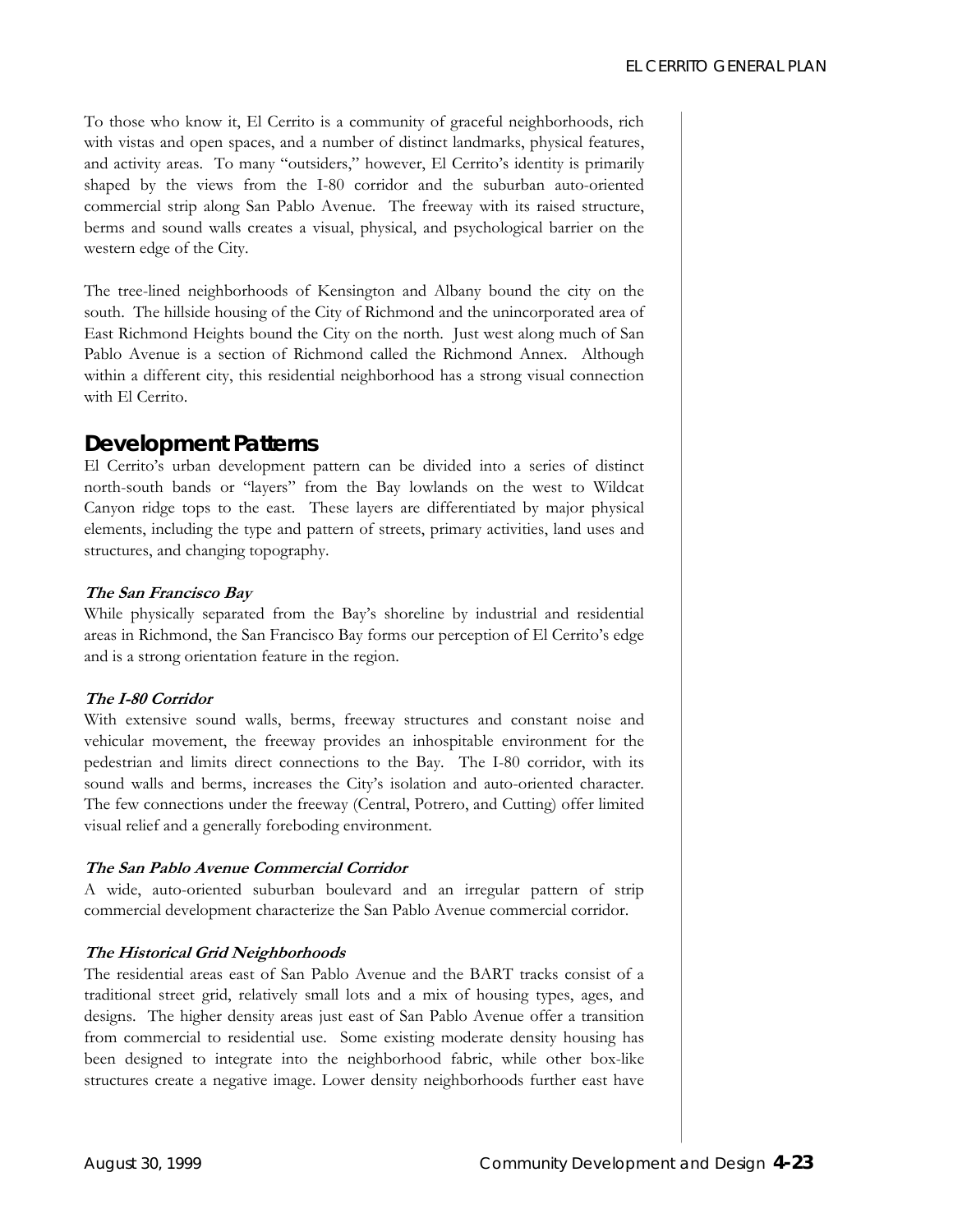To those who know it, El Cerrito is a community of graceful neighborhoods, rich with vistas and open spaces, and a number of distinct landmarks, physical features, and activity areas. To many "outsiders," however, El Cerrito's identity is primarily shaped by the views from the I-80 corridor and the suburban auto-oriented commercial strip along San Pablo Avenue. The freeway with its raised structure, berms and sound walls creates a visual, physical, and psychological barrier on the western edge of the City.

The tree-lined neighborhoods of Kensington and Albany bound the city on the south. The hillside housing of the City of Richmond and the unincorporated area of East Richmond Heights bound the City on the north. Just west along much of San Pablo Avenue is a section of Richmond called the Richmond Annex. Although within a different city, this residential neighborhood has a strong visual connection with El Cerrito.

### *Development Patterns*

El Cerrito's urban development pattern can be divided into a series of distinct north-south bands or "layers" from the Bay lowlands on the west to Wildcat Canyon ridge tops to the east. These layers are differentiated by major physical elements, including the type and pattern of streets, primary activities, land uses and structures, and changing topography.

#### **The San Francisco Bay**

While physically separated from the Bay's shoreline by industrial and residential areas in Richmond, the San Francisco Bay forms our perception of El Cerrito's edge and is a strong orientation feature in the region.

#### **The I-80 Corridor**

With extensive sound walls, berms, freeway structures and constant noise and vehicular movement, the freeway provides an inhospitable environment for the pedestrian and limits direct connections to the Bay. The I-80 corridor, with its sound walls and berms, increases the City's isolation and auto-oriented character. The few connections under the freeway (Central, Potrero, and Cutting) offer limited visual relief and a generally foreboding environment.

#### **The San Pablo Avenue Commercial Corridor**

A wide, auto-oriented suburban boulevard and an irregular pattern of strip commercial development characterize the San Pablo Avenue commercial corridor.

#### **The Historical Grid Neighborhoods**

The residential areas east of San Pablo Avenue and the BART tracks consist of a traditional street grid, relatively small lots and a mix of housing types, ages, and designs. The higher density areas just east of San Pablo Avenue offer a transition from commercial to residential use. Some existing moderate density housing has been designed to integrate into the neighborhood fabric, while other box-like structures create a negative image. Lower density neighborhoods further east have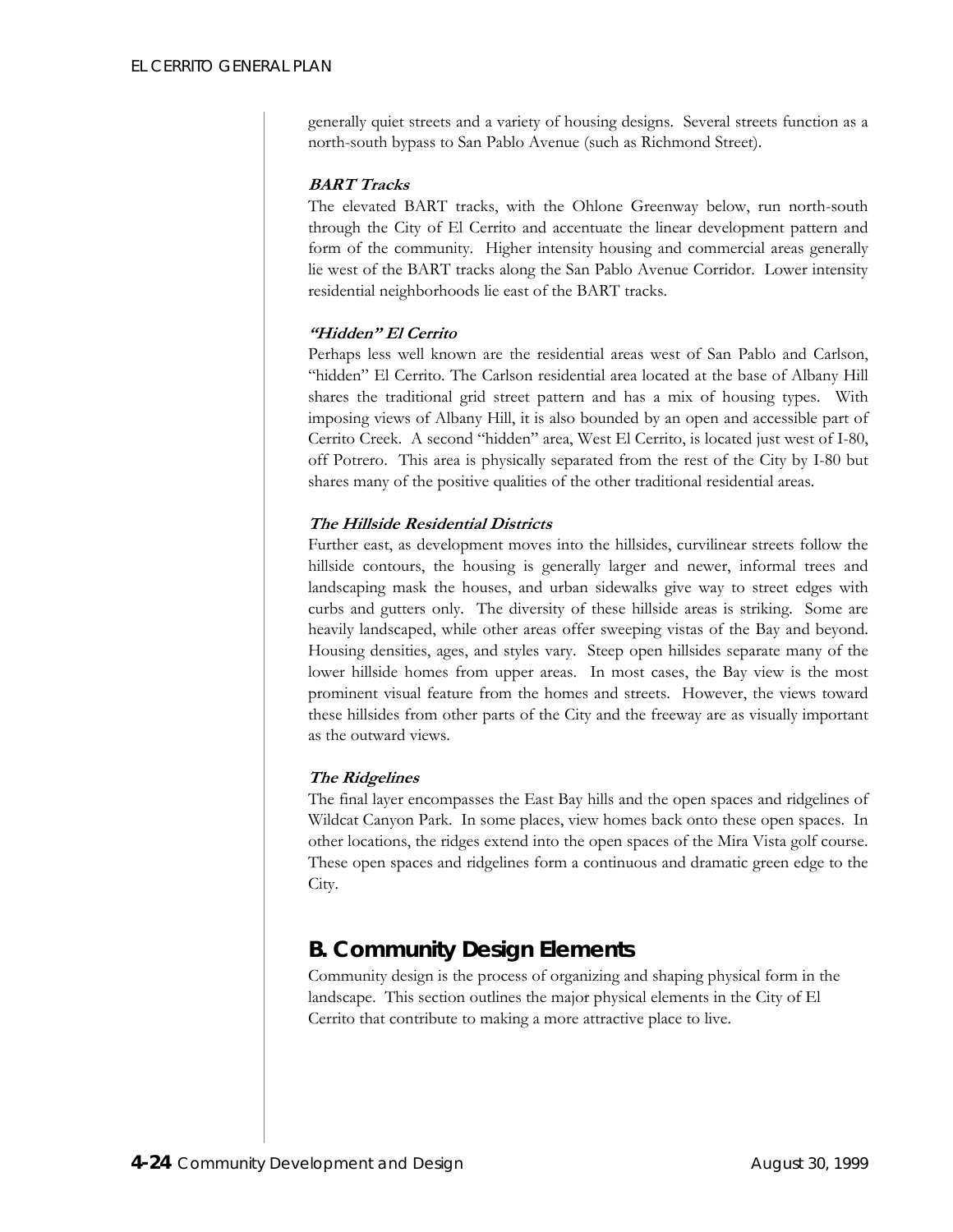generally quiet streets and a variety of housing designs. Several streets function as a north-south bypass to San Pablo Avenue (such as Richmond Street).

#### **BART Tracks**

The elevated BART tracks, with the Ohlone Greenway below, run north-south through the City of El Cerrito and accentuate the linear development pattern and form of the community. Higher intensity housing and commercial areas generally lie west of the BART tracks along the San Pablo Avenue Corridor. Lower intensity residential neighborhoods lie east of the BART tracks.

#### **"Hidden" El Cerrito**

Perhaps less well known are the residential areas west of San Pablo and Carlson, "hidden" El Cerrito. The Carlson residential area located at the base of Albany Hill shares the traditional grid street pattern and has a mix of housing types. With imposing views of Albany Hill, it is also bounded by an open and accessible part of Cerrito Creek. A second "hidden" area, West El Cerrito, is located just west of I-80, off Potrero. This area is physically separated from the rest of the City by I-80 but shares many of the positive qualities of the other traditional residential areas.

#### **The Hillside Residential Districts**

Further east, as development moves into the hillsides, curvilinear streets follow the hillside contours, the housing is generally larger and newer, informal trees and landscaping mask the houses, and urban sidewalks give way to street edges with curbs and gutters only. The diversity of these hillside areas is striking. Some are heavily landscaped, while other areas offer sweeping vistas of the Bay and beyond. Housing densities, ages, and styles vary. Steep open hillsides separate many of the lower hillside homes from upper areas. In most cases, the Bay view is the most prominent visual feature from the homes and streets. However, the views toward these hillsides from other parts of the City and the freeway are as visually important as the outward views.

#### **The Ridgelines**

The final layer encompasses the East Bay hills and the open spaces and ridgelines of Wildcat Canyon Park. In some places, view homes back onto these open spaces. In other locations, the ridges extend into the open spaces of the Mira Vista golf course. These open spaces and ridgelines form a continuous and dramatic green edge to the City.

## **B. Community Design Elements**

Community design is the process of organizing and shaping physical form in the landscape. This section outlines the major physical elements in the City of El Cerrito that contribute to making a more attractive place to live.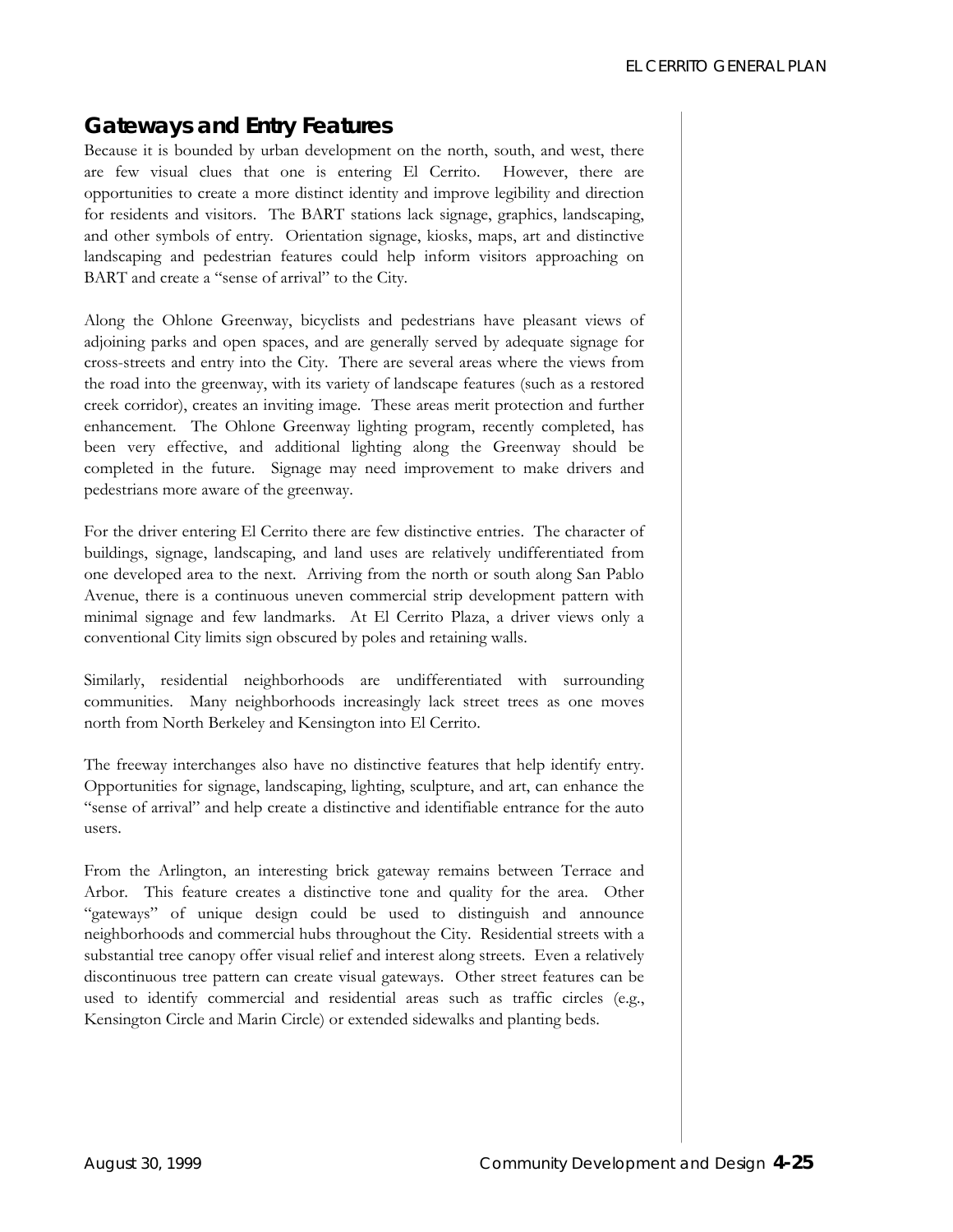# *Gateways and Entry Features*

Because it is bounded by urban development on the north, south, and west, there are few visual clues that one is entering El Cerrito. However, there are opportunities to create a more distinct identity and improve legibility and direction for residents and visitors. The BART stations lack signage, graphics, landscaping, and other symbols of entry. Orientation signage, kiosks, maps, art and distinctive landscaping and pedestrian features could help inform visitors approaching on BART and create a "sense of arrival" to the City.

Along the Ohlone Greenway, bicyclists and pedestrians have pleasant views of adjoining parks and open spaces, and are generally served by adequate signage for cross-streets and entry into the City. There are several areas where the views from the road into the greenway, with its variety of landscape features (such as a restored creek corridor), creates an inviting image. These areas merit protection and further enhancement. The Ohlone Greenway lighting program, recently completed, has been very effective, and additional lighting along the Greenway should be completed in the future. Signage may need improvement to make drivers and pedestrians more aware of the greenway.

For the driver entering El Cerrito there are few distinctive entries. The character of buildings, signage, landscaping, and land uses are relatively undifferentiated from one developed area to the next. Arriving from the north or south along San Pablo Avenue, there is a continuous uneven commercial strip development pattern with minimal signage and few landmarks. At El Cerrito Plaza, a driver views only a conventional City limits sign obscured by poles and retaining walls.

Similarly, residential neighborhoods are undifferentiated with surrounding communities. Many neighborhoods increasingly lack street trees as one moves north from North Berkeley and Kensington into El Cerrito.

The freeway interchanges also have no distinctive features that help identify entry. Opportunities for signage, landscaping, lighting, sculpture, and art, can enhance the "sense of arrival" and help create a distinctive and identifiable entrance for the auto users.

From the Arlington, an interesting brick gateway remains between Terrace and Arbor. This feature creates a distinctive tone and quality for the area. Other "gateways" of unique design could be used to distinguish and announce neighborhoods and commercial hubs throughout the City. Residential streets with a substantial tree canopy offer visual relief and interest along streets. Even a relatively discontinuous tree pattern can create visual gateways. Other street features can be used to identify commercial and residential areas such as traffic circles (e.g., Kensington Circle and Marin Circle) or extended sidewalks and planting beds.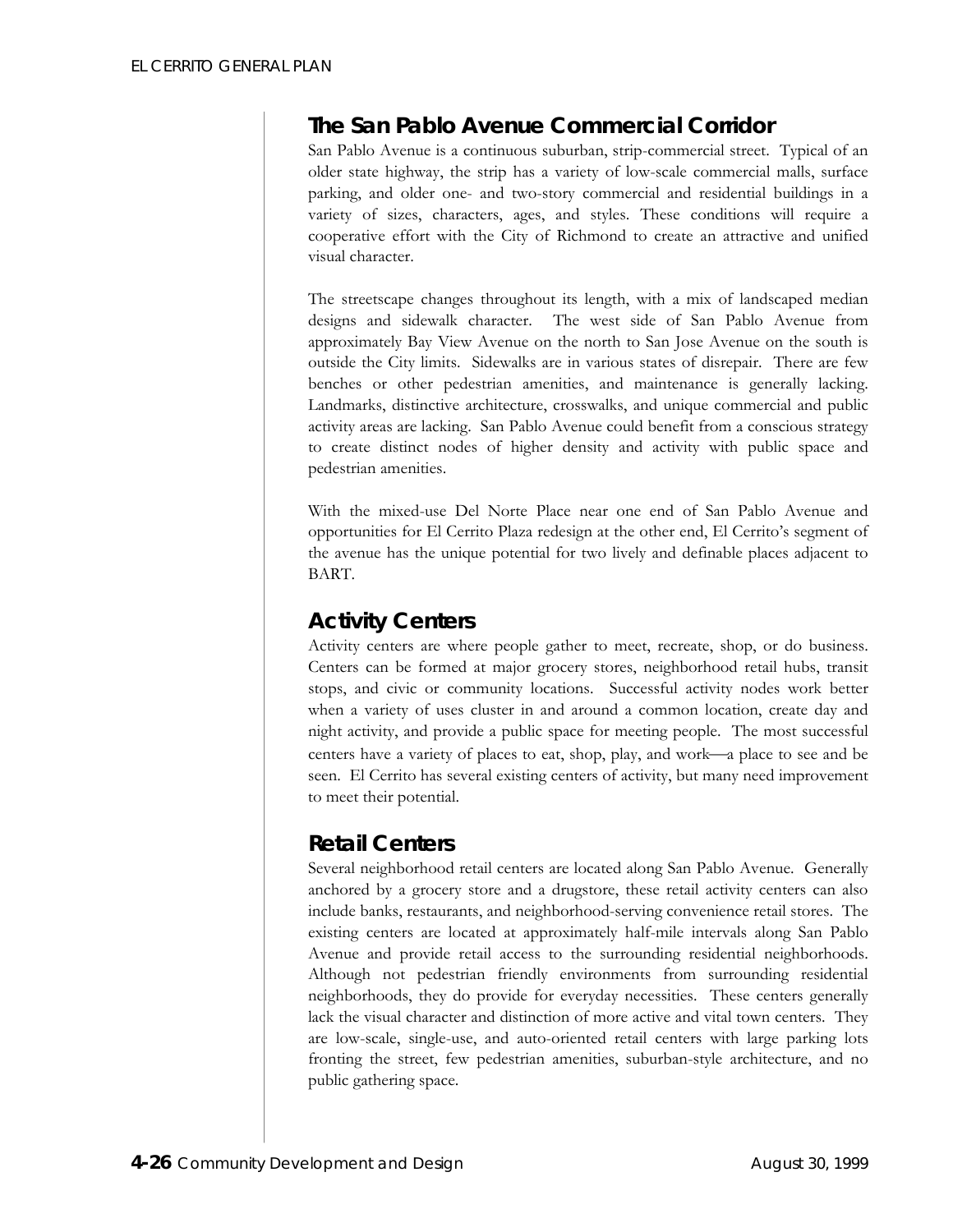# *The San Pablo Avenue Commercial Corridor*

San Pablo Avenue is a continuous suburban, strip-commercial street. Typical of an older state highway, the strip has a variety of low-scale commercial malls, surface parking, and older one- and two-story commercial and residential buildings in a variety of sizes, characters, ages, and styles. These conditions will require a cooperative effort with the City of Richmond to create an attractive and unified visual character.

The streetscape changes throughout its length, with a mix of landscaped median designs and sidewalk character. The west side of San Pablo Avenue from approximately Bay View Avenue on the north to San Jose Avenue on the south is outside the City limits. Sidewalks are in various states of disrepair. There are few benches or other pedestrian amenities, and maintenance is generally lacking. Landmarks, distinctive architecture, crosswalks, and unique commercial and public activity areas are lacking. San Pablo Avenue could benefit from a conscious strategy to create distinct nodes of higher density and activity with public space and pedestrian amenities.

With the mixed-use Del Norte Place near one end of San Pablo Avenue and opportunities for El Cerrito Plaza redesign at the other end, El Cerrito's segment of the avenue has the unique potential for two lively and definable places adjacent to BART.

## *Activity Centers*

Activity centers are where people gather to meet, recreate, shop, or do business. Centers can be formed at major grocery stores, neighborhood retail hubs, transit stops, and civic or community locations. Successful activity nodes work better when a variety of uses cluster in and around a common location, create day and night activity, and provide a public space for meeting people. The most successful centers have a variety of places to eat, shop, play, and work—a place to see and be seen. El Cerrito has several existing centers of activity, but many need improvement to meet their potential.

## *Retail Centers*

Several neighborhood retail centers are located along San Pablo Avenue. Generally anchored by a grocery store and a drugstore, these retail activity centers can also include banks, restaurants, and neighborhood-serving convenience retail stores. The existing centers are located at approximately half-mile intervals along San Pablo Avenue and provide retail access to the surrounding residential neighborhoods. Although not pedestrian friendly environments from surrounding residential neighborhoods, they do provide for everyday necessities. These centers generally lack the visual character and distinction of more active and vital town centers. They are low-scale, single-use, and auto-oriented retail centers with large parking lots fronting the street, few pedestrian amenities, suburban-style architecture, and no public gathering space.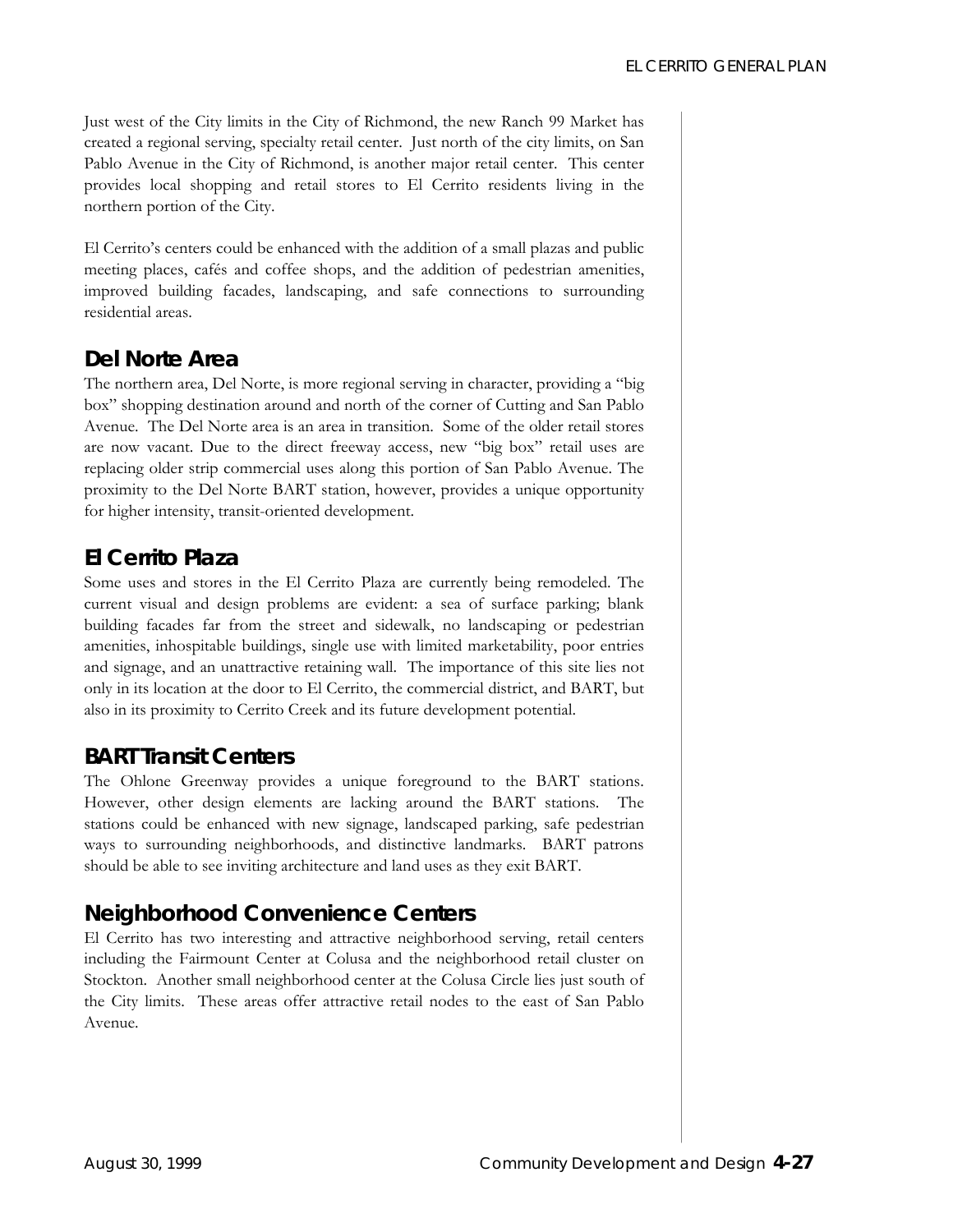Just west of the City limits in the City of Richmond, the new Ranch 99 Market has created a regional serving, specialty retail center. Just north of the city limits, on San Pablo Avenue in the City of Richmond, is another major retail center. This center provides local shopping and retail stores to El Cerrito residents living in the northern portion of the City.

El Cerrito's centers could be enhanced with the addition of a small plazas and public meeting places, cafés and coffee shops, and the addition of pedestrian amenities, improved building facades, landscaping, and safe connections to surrounding residential areas.

## *Del Norte Area*

The northern area, Del Norte, is more regional serving in character, providing a "big box" shopping destination around and north of the corner of Cutting and San Pablo Avenue. The Del Norte area is an area in transition. Some of the older retail stores are now vacant. Due to the direct freeway access, new "big box" retail uses are replacing older strip commercial uses along this portion of San Pablo Avenue. The proximity to the Del Norte BART station, however, provides a unique opportunity for higher intensity, transit-oriented development.

## *El Cerrito Plaza*

Some uses and stores in the El Cerrito Plaza are currently being remodeled. The current visual and design problems are evident: a sea of surface parking; blank building facades far from the street and sidewalk, no landscaping or pedestrian amenities, inhospitable buildings, single use with limited marketability, poor entries and signage, and an unattractive retaining wall. The importance of this site lies not only in its location at the door to El Cerrito, the commercial district, and BART, but also in its proximity to Cerrito Creek and its future development potential.

## *BART Transit Centers*

The Ohlone Greenway provides a unique foreground to the BART stations. However, other design elements are lacking around the BART stations. The stations could be enhanced with new signage, landscaped parking, safe pedestrian ways to surrounding neighborhoods, and distinctive landmarks. BART patrons should be able to see inviting architecture and land uses as they exit BART.

# *Neighborhood Convenience Centers*

El Cerrito has two interesting and attractive neighborhood serving, retail centers including the Fairmount Center at Colusa and the neighborhood retail cluster on Stockton. Another small neighborhood center at the Colusa Circle lies just south of the City limits. These areas offer attractive retail nodes to the east of San Pablo Avenue.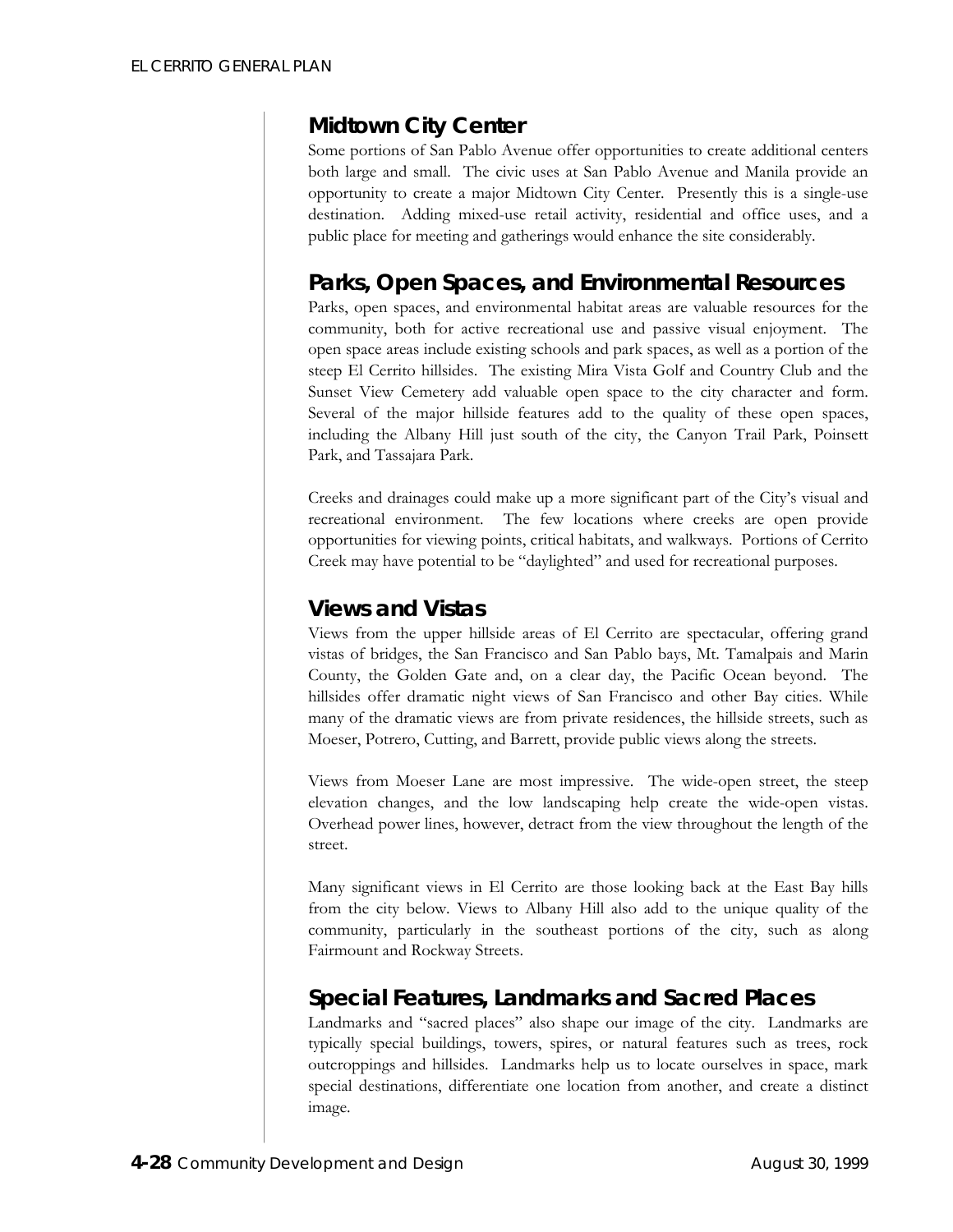## *Midtown City Center*

Some portions of San Pablo Avenue offer opportunities to create additional centers both large and small. The civic uses at San Pablo Avenue and Manila provide an opportunity to create a major Midtown City Center. Presently this is a single-use destination. Adding mixed-use retail activity, residential and office uses, and a public place for meeting and gatherings would enhance the site considerably.

## *Parks, Open Spaces, and Environmental Resources*

Parks, open spaces, and environmental habitat areas are valuable resources for the community, both for active recreational use and passive visual enjoyment. The open space areas include existing schools and park spaces, as well as a portion of the steep El Cerrito hillsides. The existing Mira Vista Golf and Country Club and the Sunset View Cemetery add valuable open space to the city character and form. Several of the major hillside features add to the quality of these open spaces, including the Albany Hill just south of the city, the Canyon Trail Park, Poinsett Park, and Tassajara Park.

Creeks and drainages could make up a more significant part of the City's visual and recreational environment. The few locations where creeks are open provide opportunities for viewing points, critical habitats, and walkways. Portions of Cerrito Creek may have potential to be "daylighted" and used for recreational purposes.

## *Views and Vistas*

Views from the upper hillside areas of El Cerrito are spectacular, offering grand vistas of bridges, the San Francisco and San Pablo bays, Mt. Tamalpais and Marin County, the Golden Gate and, on a clear day, the Pacific Ocean beyond. The hillsides offer dramatic night views of San Francisco and other Bay cities. While many of the dramatic views are from private residences, the hillside streets, such as Moeser, Potrero, Cutting, and Barrett, provide public views along the streets.

Views from Moeser Lane are most impressive. The wide-open street, the steep elevation changes, and the low landscaping help create the wide-open vistas. Overhead power lines, however, detract from the view throughout the length of the street.

Many significant views in El Cerrito are those looking back at the East Bay hills from the city below. Views to Albany Hill also add to the unique quality of the community, particularly in the southeast portions of the city, such as along Fairmount and Rockway Streets.

# *Special Features, Landmarks and Sacred Places*

Landmarks and "sacred places" also shape our image of the city. Landmarks are typically special buildings, towers, spires, or natural features such as trees, rock outcroppings and hillsides. Landmarks help us to locate ourselves in space, mark special destinations, differentiate one location from another, and create a distinct image.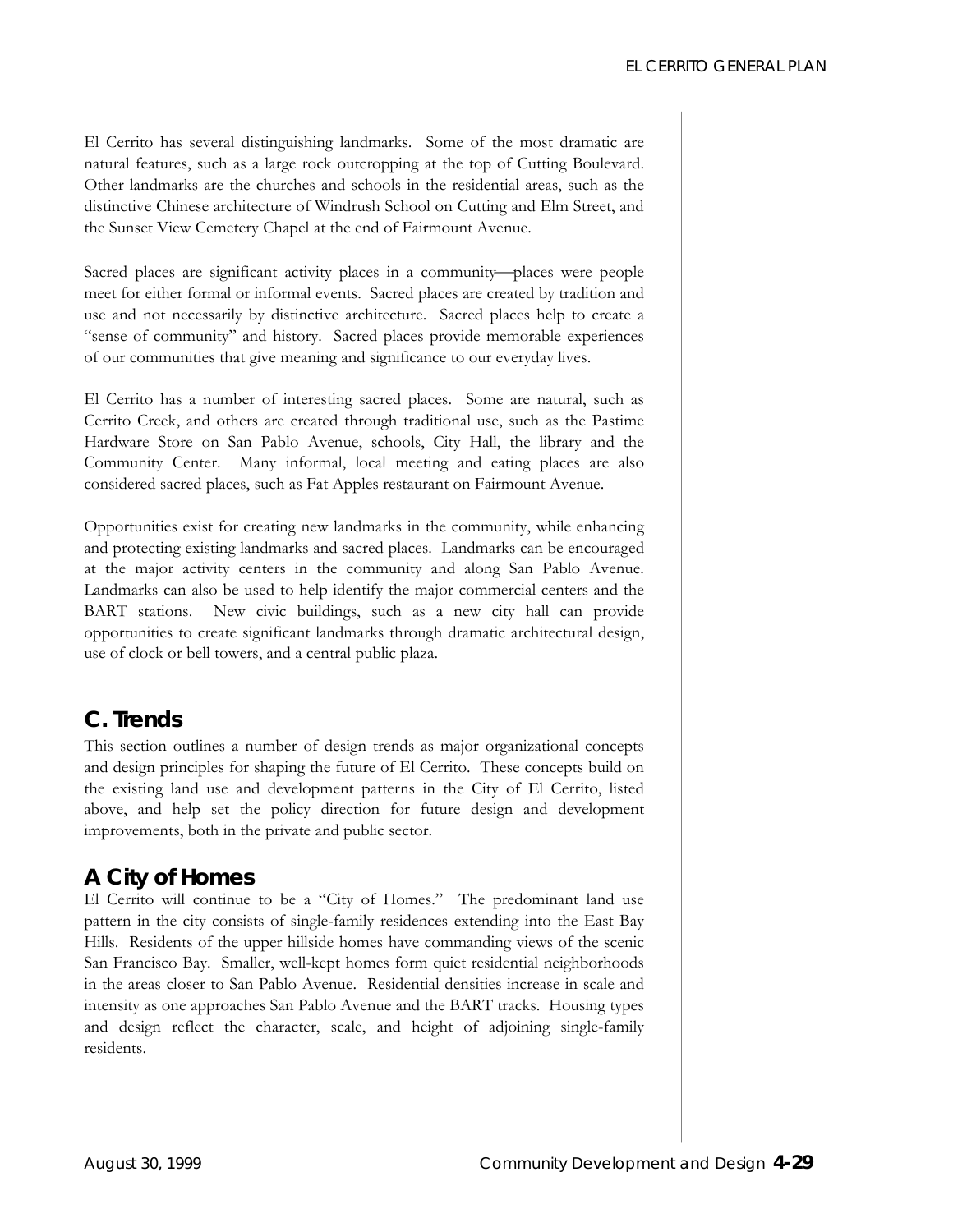El Cerrito has several distinguishing landmarks. Some of the most dramatic are natural features, such as a large rock outcropping at the top of Cutting Boulevard. Other landmarks are the churches and schools in the residential areas, such as the distinctive Chinese architecture of Windrush School on Cutting and Elm Street, and the Sunset View Cemetery Chapel at the end of Fairmount Avenue.

Sacred places are significant activity places in a community-places were people meet for either formal or informal events. Sacred places are created by tradition and use and not necessarily by distinctive architecture. Sacred places help to create a "sense of community" and history. Sacred places provide memorable experiences of our communities that give meaning and significance to our everyday lives.

El Cerrito has a number of interesting sacred places. Some are natural, such as Cerrito Creek, and others are created through traditional use, such as the Pastime Hardware Store on San Pablo Avenue, schools, City Hall, the library and the Community Center. Many informal, local meeting and eating places are also considered sacred places, such as Fat Apples restaurant on Fairmount Avenue.

Opportunities exist for creating new landmarks in the community, while enhancing and protecting existing landmarks and sacred places. Landmarks can be encouraged at the major activity centers in the community and along San Pablo Avenue. Landmarks can also be used to help identify the major commercial centers and the BART stations. New civic buildings, such as a new city hall can provide opportunities to create significant landmarks through dramatic architectural design, use of clock or bell towers, and a central public plaza.

## **C. Trends**

This section outlines a number of design trends as major organizational concepts and design principles for shaping the future of El Cerrito. These concepts build on the existing land use and development patterns in the City of El Cerrito, listed above, and help set the policy direction for future design and development improvements, both in the private and public sector.

### *A City of Homes*

El Cerrito will continue to be a "City of Homes." The predominant land use pattern in the city consists of single-family residences extending into the East Bay Hills. Residents of the upper hillside homes have commanding views of the scenic San Francisco Bay. Smaller, well-kept homes form quiet residential neighborhoods in the areas closer to San Pablo Avenue. Residential densities increase in scale and intensity as one approaches San Pablo Avenue and the BART tracks. Housing types and design reflect the character, scale, and height of adjoining single-family residents.